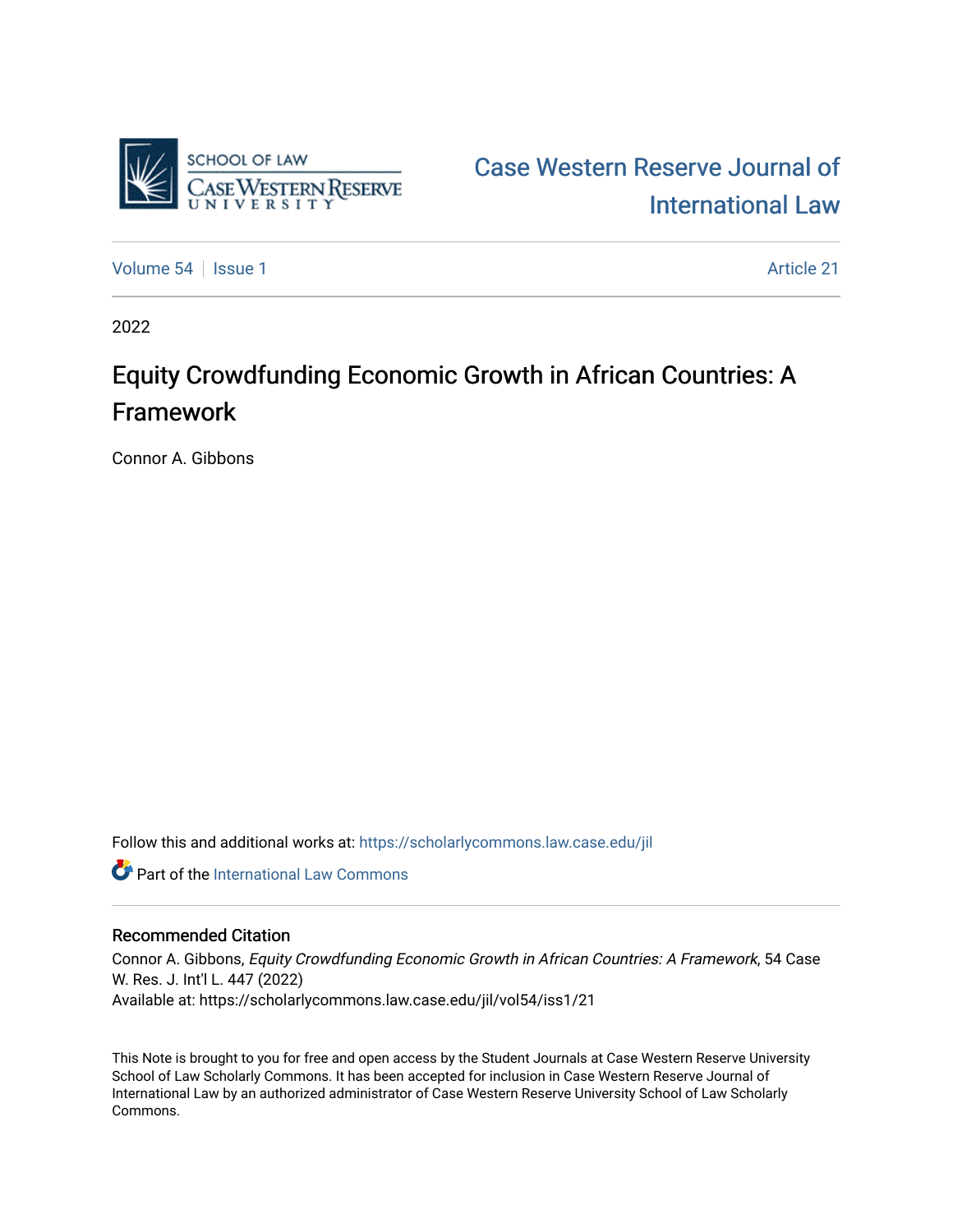

[Case Western Reserve Journal of](https://scholarlycommons.law.case.edu/jil)  [International Law](https://scholarlycommons.law.case.edu/jil) 

[Volume 54](https://scholarlycommons.law.case.edu/jil/vol54) | [Issue 1](https://scholarlycommons.law.case.edu/jil/vol54/iss1) Article 21

2022

## Equity Crowdfunding Economic Growth in African Countries: A Framework

Connor A. Gibbons

Follow this and additional works at: [https://scholarlycommons.law.case.edu/jil](https://scholarlycommons.law.case.edu/jil?utm_source=scholarlycommons.law.case.edu%2Fjil%2Fvol54%2Fiss1%2F21&utm_medium=PDF&utm_campaign=PDFCoverPages) 

**C** Part of the International Law Commons

## Recommended Citation

Connor A. Gibbons, Equity Crowdfunding Economic Growth in African Countries: A Framework, 54 Case W. Res. J. Int'l L. 447 (2022) Available at: https://scholarlycommons.law.case.edu/jil/vol54/iss1/21

This Note is brought to you for free and open access by the Student Journals at Case Western Reserve University School of Law Scholarly Commons. It has been accepted for inclusion in Case Western Reserve Journal of International Law by an authorized administrator of Case Western Reserve University School of Law Scholarly Commons.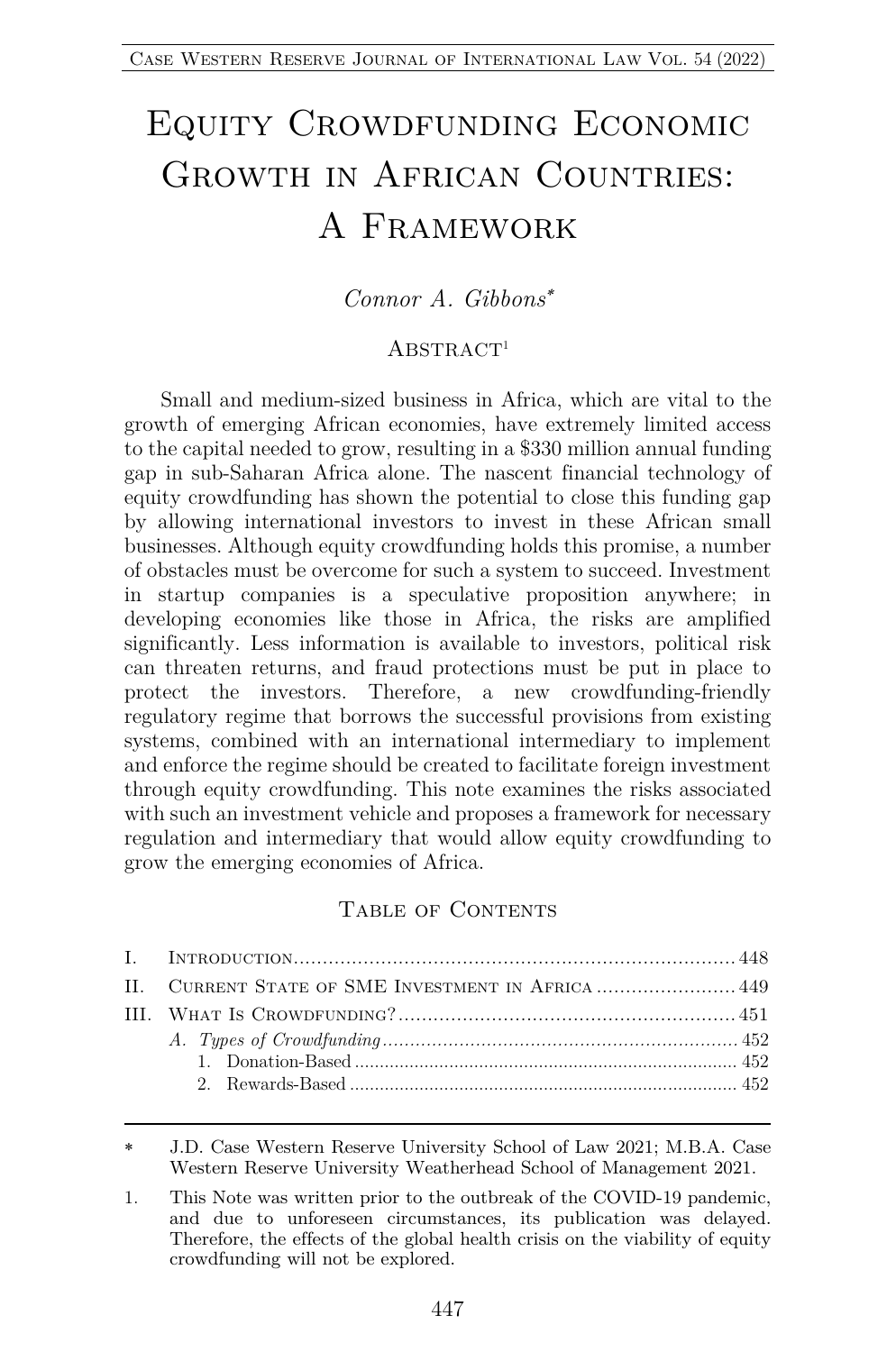# Equity Crowdfunding Economic Growth in African Countries: A Framework

## *Connor A. Gibbons*\*

#### $ABSTRACT<sup>1</sup>$

Small and medium-sized business in Africa, which are vital to the growth of emerging African economies, have extremely limited access to the capital needed to grow, resulting in a \$330 million annual funding gap in sub-Saharan Africa alone. The nascent financial technology of equity crowdfunding has shown the potential to close this funding gap by allowing international investors to invest in these African small businesses. Although equity crowdfunding holds this promise, a number of obstacles must be overcome for such a system to succeed. Investment in startup companies is a speculative proposition anywhere; in developing economies like those in Africa, the risks are amplified significantly. Less information is available to investors, political risk can threaten returns, and fraud protections must be put in place to protect the investors. Therefore, a new crowdfunding-friendly regulatory regime that borrows the successful provisions from existing systems, combined with an international intermediary to implement and enforce the regime should be created to facilitate foreign investment through equity crowdfunding. This note examines the risks associated with such an investment vehicle and proposes a framework for necessary regulation and intermediary that would allow equity crowdfunding to grow the emerging economies of Africa.

#### TABLE OF CONTENTS

| II. CURRENT STATE OF SME INVESTMENT IN AFRICA  449 |  |
|----------------------------------------------------|--|
|                                                    |  |
|                                                    |  |
|                                                    |  |
|                                                    |  |
|                                                    |  |

<sup>\*</sup> J.D. Case Western Reserve University School of Law 2021; M.B.A. Case Western Reserve University Weatherhead School of Management 2021.

<sup>1.</sup> This Note was written prior to the outbreak of the COVID-19 pandemic, and due to unforeseen circumstances, its publication was delayed. Therefore, the effects of the global health crisis on the viability of equity crowdfunding will not be explored.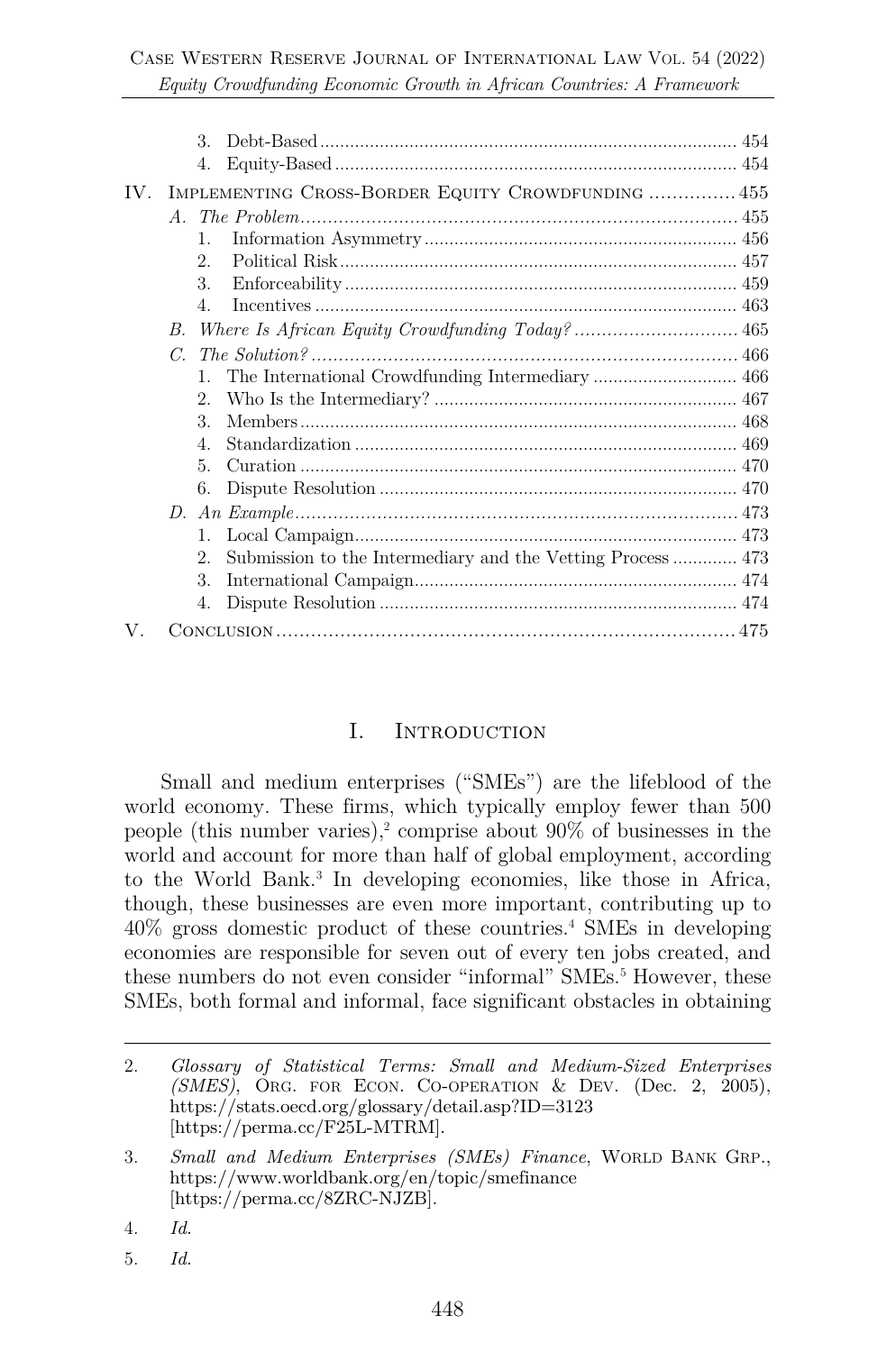|  | 3.                                                     |  |
|--|--------------------------------------------------------|--|
|  | 4.                                                     |  |
|  | IV. IMPLEMENTING CROSS-BORDER EQUITY CROWDFUNDING  455 |  |
|  |                                                        |  |
|  |                                                        |  |
|  | $\mathbf{1}$ .                                         |  |
|  | 2.5                                                    |  |
|  | $\mathcal{R}$                                          |  |
|  | $\overline{4}$ .                                       |  |
|  | $B_{\cdot}$                                            |  |
|  | $C_{-}$                                                |  |
|  |                                                        |  |
|  | 2.                                                     |  |
|  | $\mathcal{R}$                                          |  |
|  | $\mathbf{4}$ .                                         |  |
|  | 5.                                                     |  |
|  | 6.                                                     |  |
|  |                                                        |  |
|  | $1_{-}$                                                |  |
|  | 2.                                                     |  |
|  | 3.                                                     |  |
|  | 4.                                                     |  |
|  |                                                        |  |

#### I. Introduction

Small and medium enterprises ("SMEs") are the lifeblood of the world economy. These firms, which typically employ fewer than 500 people (this number varies),<sup>2</sup> comprise about  $90\%$  of businesses in the world and account for more than half of global employment, according to the World Bank.3 In developing economies, like those in Africa, though, these businesses are even more important, contributing up to 40% gross domestic product of these countries. <sup>4</sup> SMEs in developing economies are responsible for seven out of every ten jobs created, and these numbers do not even consider "informal" SME<sub>s.</sub><sup>5</sup> However, these SMEs, both formal and informal, face significant obstacles in obtaining

- 4. *Id.*
- 5. *Id.*

<sup>2.</sup> *Glossary of Statistical Terms: Small and Medium-Sized Enterprises (SMES)*, ORG. FOR ECON. CO-OPERATION & DEV. (Dec. 2, 2005), https://stats.oecd.org/glossary/detail.asp?ID=3123 [https://perma.cc/F25L-MTRM].

<sup>3.</sup> *Small and Medium Enterprises (SMEs) Finance*, WORLD BANK GRP., https://www.worldbank.org/en/topic/smefinance [https://perma.cc/8ZRC-NJZB].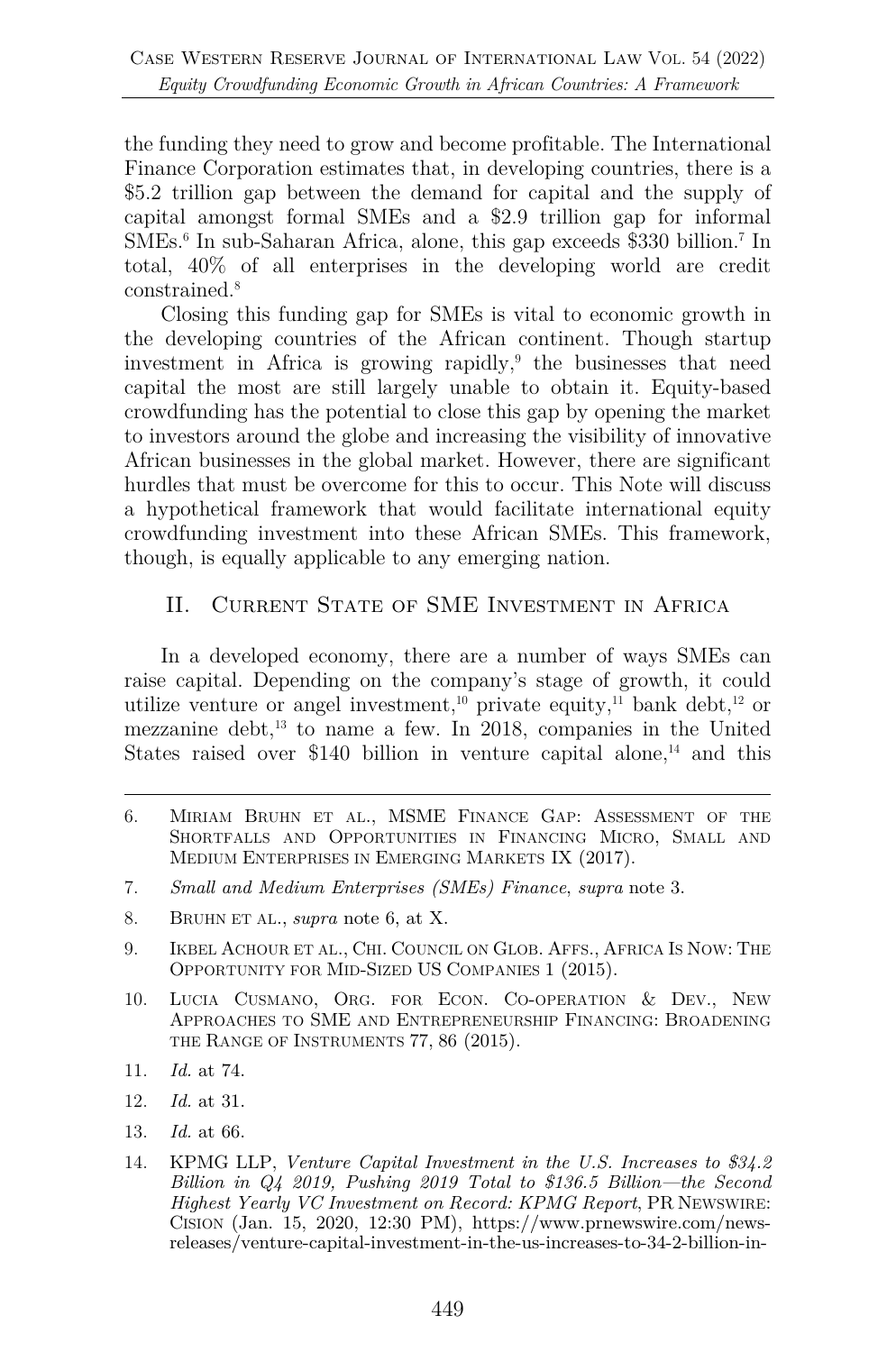the funding they need to grow and become profitable. The International Finance Corporation estimates that, in developing countries, there is a \$5.2 trillion gap between the demand for capital and the supply of capital amongst formal SMEs and a \$2.9 trillion gap for informal SMEs.6 In sub-Saharan Africa, alone, this gap exceeds \$330 billion.7 In total, 40% of all enterprises in the developing world are credit constrained.8

Closing this funding gap for SMEs is vital to economic growth in the developing countries of the African continent. Though startup investment in Africa is growing rapidly, $9$  the businesses that need capital the most are still largely unable to obtain it. Equity-based crowdfunding has the potential to close this gap by opening the market to investors around the globe and increasing the visibility of innovative African businesses in the global market. However, there are significant hurdles that must be overcome for this to occur. This Note will discuss a hypothetical framework that would facilitate international equity crowdfunding investment into these African SMEs. This framework, though, is equally applicable to any emerging nation.

## II. CURRENT STATE OF SME INVESTMENT IN AFRICA

In a developed economy, there are a number of ways SMEs can raise capital. Depending on the company's stage of growth, it could utilize venture or angel investment,<sup>10</sup> private equity,<sup>11</sup> bank debt,<sup>12</sup> or mezzanine debt, $^{13}$  to name a few. In 2018, companies in the United States raised over \$140 billion in venture capital alone, $^{14}$  and this

- 6. MIRIAM BRUHN ET AL., MSME FINANCE GAP: ASSESSMENT OF THE SHORTFALLS AND OPPORTUNITIES IN FINANCING MICRO, SMALL AND MEDIUM ENTERPRISES IN EMERGING MARKETS IX (2017).
- 7. *Small and Medium Enterprises (SMEs) Finance*, *supra* note 3.
- 8. BRUHN ET AL., *supra* note 6, at X.
- 9. IKBEL ACHOUR ET AL., CHI. COUNCIL ON GLOB. AFFS., AFRICA IS NOW: THE OPPORTUNITY FOR MID-SIZED US COMPANIES 1 (2015).
- 10. LUCIA CUSMANO, ORG. FOR ECON. CO-OPERATION & DEV., NEW APPROACHES TO SME AND ENTREPRENEURSHIP FINANCING: BROADENING THE RANGE OF INSTRUMENTS 77, 86 (2015).
- 11. *Id.* at 74.
- 12. *Id.* at 31.
- 13. *Id.* at 66.
- 14. KPMG LLP, *Venture Capital Investment in the U.S. Increases to \$34.2 Billion in Q4 2019, Pushing 2019 Total to \$136.5 Billion—the Second Highest Yearly VC Investment on Record: KPMG Report*, PR NEWSWIRE: CISION (Jan. 15, 2020, 12:30 PM), https://www.prnewswire.com/newsreleases/venture-capital-investment-in-the-us-increases-to-34-2-billion-in-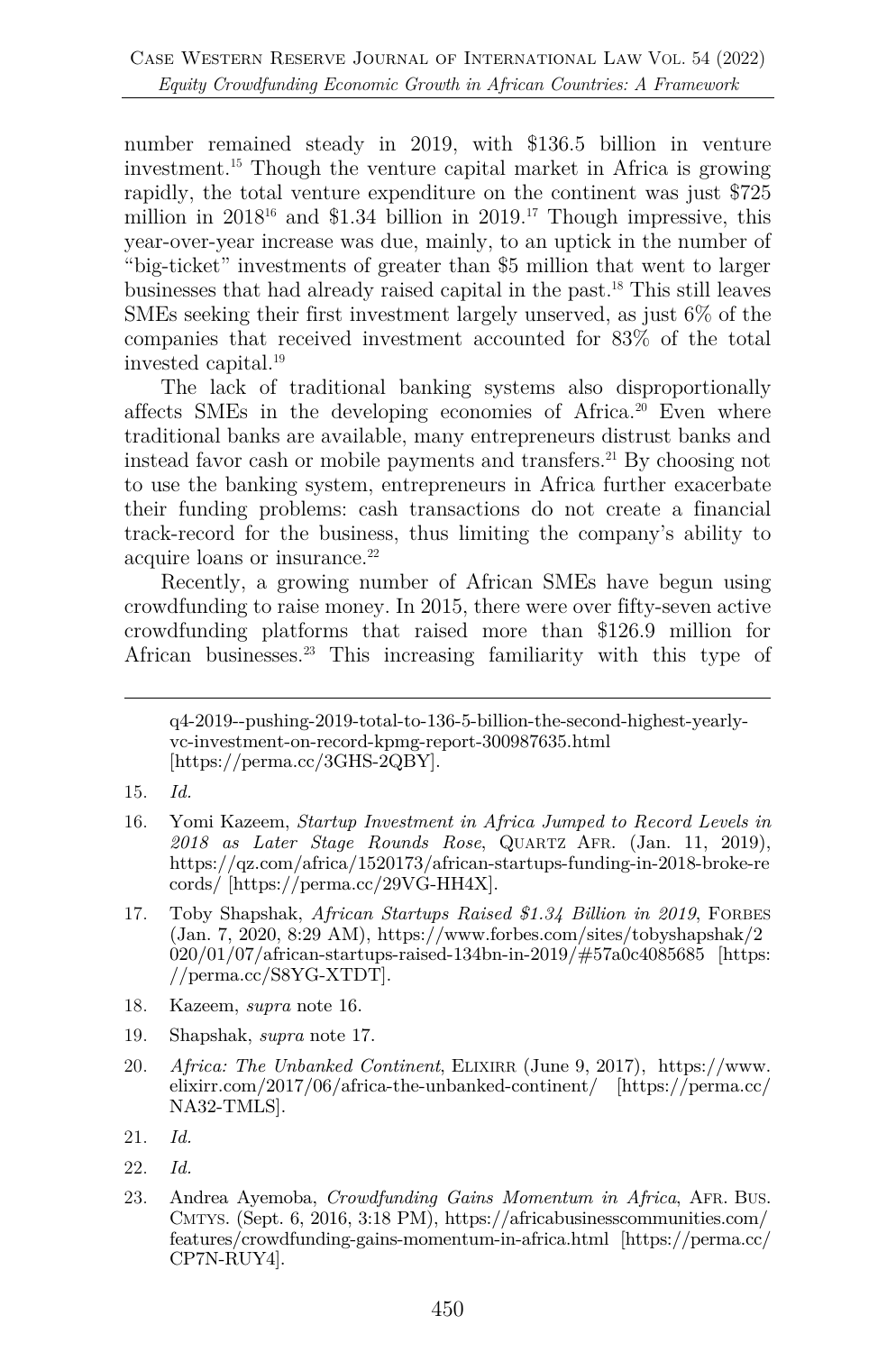number remained steady in 2019, with \$136.5 billion in venture investment.15 Though the venture capital market in Africa is growing rapidly, the total venture expenditure on the continent was just \$725 million in  $2018^{16}$  and \$1.34 billion in  $2019<sup>17</sup>$  Though impressive, this year-over-year increase was due, mainly, to an uptick in the number of "big-ticket" investments of greater than \$5 million that went to larger businesses that had already raised capital in the past.18 This still leaves SMEs seeking their first investment largely unserved, as just 6% of the companies that received investment accounted for 83% of the total invested capital.19

The lack of traditional banking systems also disproportionally affects SMEs in the developing economies of Africa.20 Even where traditional banks are available, many entrepreneurs distrust banks and instead favor cash or mobile payments and transfers.<sup>21</sup> By choosing not to use the banking system, entrepreneurs in Africa further exacerbate their funding problems: cash transactions do not create a financial track-record for the business, thus limiting the company's ability to acquire loans or insurance.<sup>22</sup>

Recently, a growing number of African SMEs have begun using crowdfunding to raise money. In 2015, there were over fifty-seven active crowdfunding platforms that raised more than \$126.9 million for African businesses.23 This increasing familiarity with this type of

- 15. *Id.*
- 16. Yomi Kazeem, *Startup Investment in Africa Jumped to Record Levels in 2018 as Later Stage Rounds Rose*, QUARTZ AFR. (Jan. 11, 2019), https://qz.com/africa/1520173/african-startups-funding-in-2018-broke-re cords/ [https://perma.cc/29VG-HH4X].
- 17. Toby Shapshak, *African Startups Raised \$1.34 Billion in 2019*, FORBES (Jan. 7, 2020, 8:29 AM), https://www.forbes.com/sites/tobyshapshak/2 020/01/07/african-startups-raised-134bn-in-2019/#57a0c4085685 [https: //perma.cc/S8YG-XTDT].
- 18. Kazeem, *supra* note 16.
- 19. Shapshak, *supra* note 17.
- 20. *Africa: The Unbanked Continent*, ELIXIRR (June 9, 2017), https://www. elixirr.com/2017/06/africa-the-unbanked-continent/ [https://perma.cc/ NA32-TMLS].
- 21. *Id.*
- 22. *Id.*
- 23. Andrea Ayemoba, *Crowdfunding Gains Momentum in Africa*, AFR. BUS. CMTYS. (Sept. 6, 2016, 3:18 PM), https://africabusinesscommunities.com/ features/crowdfunding-gains-momentum-in-africa.html [https://perma.cc/ CP7N-RUY4].

q4-2019--pushing-2019-total-to-136-5-billion-the-second-highest-yearlyvc-investment-on-record-kpmg-report-300987635.html [https://perma.cc/3GHS-2QBY].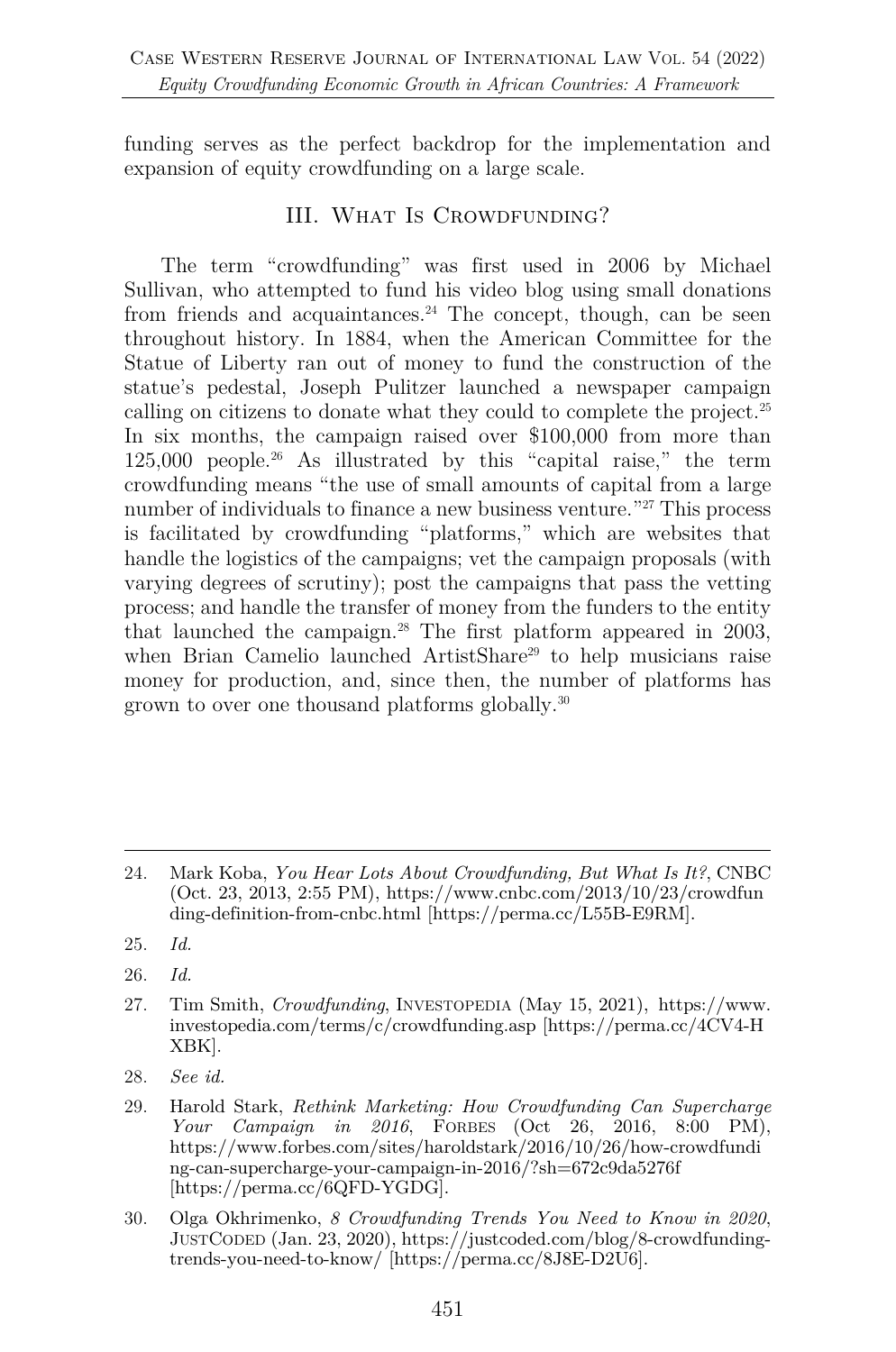funding serves as the perfect backdrop for the implementation and expansion of equity crowdfunding on a large scale.

## III. WHAT IS CROWDFUNDING?

The term "crowdfunding" was first used in 2006 by Michael Sullivan, who attempted to fund his video blog using small donations from friends and acquaintances. <sup>24</sup> The concept, though, can be seen throughout history. In 1884, when the American Committee for the Statue of Liberty ran out of money to fund the construction of the statue's pedestal, Joseph Pulitzer launched a newspaper campaign calling on citizens to donate what they could to complete the project.25 In six months, the campaign raised over \$100,000 from more than 125,000 people.26 As illustrated by this "capital raise," the term crowdfunding means "the use of small amounts of capital from a large number of individuals to finance a new business venture."27 This process is facilitated by crowdfunding "platforms," which are websites that handle the logistics of the campaigns; vet the campaign proposals (with varying degrees of scrutiny); post the campaigns that pass the vetting process; and handle the transfer of money from the funders to the entity that launched the campaign.28 The first platform appeared in 2003, when Brian Camelio launched ArtistShare<sup>29</sup> to help musicians raise money for production, and, since then, the number of platforms has grown to over one thousand platforms globally.30

<sup>24.</sup> Mark Koba, *You Hear Lots About Crowdfunding, But What Is It?*, CNBC (Oct. 23, 2013, 2:55 PM), https://www.cnbc.com/2013/10/23/crowdfun ding-definition-from-cnbc.html [https://perma.cc/L55B-E9RM].

<sup>25.</sup> *Id.*

<sup>26.</sup> *Id.*

<sup>27.</sup> Tim Smith, *Crowdfunding*, INVESTOPEDIA (May 15, 2021), https://www. investopedia.com/terms/c/crowdfunding.asp [https://perma.cc/4CV4-H XBK].

<sup>28.</sup> *See id.*

<sup>29.</sup> Harold Stark, *Rethink Marketing: How Crowdfunding Can Supercharge Your Campaign in 2016*, FORBES (Oct 26, 2016, 8:00 PM), https://www.forbes.com/sites/haroldstark/2016/10/26/how-crowdfundi ng-can-supercharge-your-campaign-in-2016/?sh=672c9da5276f [https://perma.cc/6QFD-YGDG].

<sup>30.</sup> Olga Okhrimenko, *8 Crowdfunding Trends You Need to Know in 2020*, JUSTCODED (Jan. 23, 2020), https://justcoded.com/blog/8-crowdfundingtrends-you-need-to-know/ [https://perma.cc/8J8E-D2U6].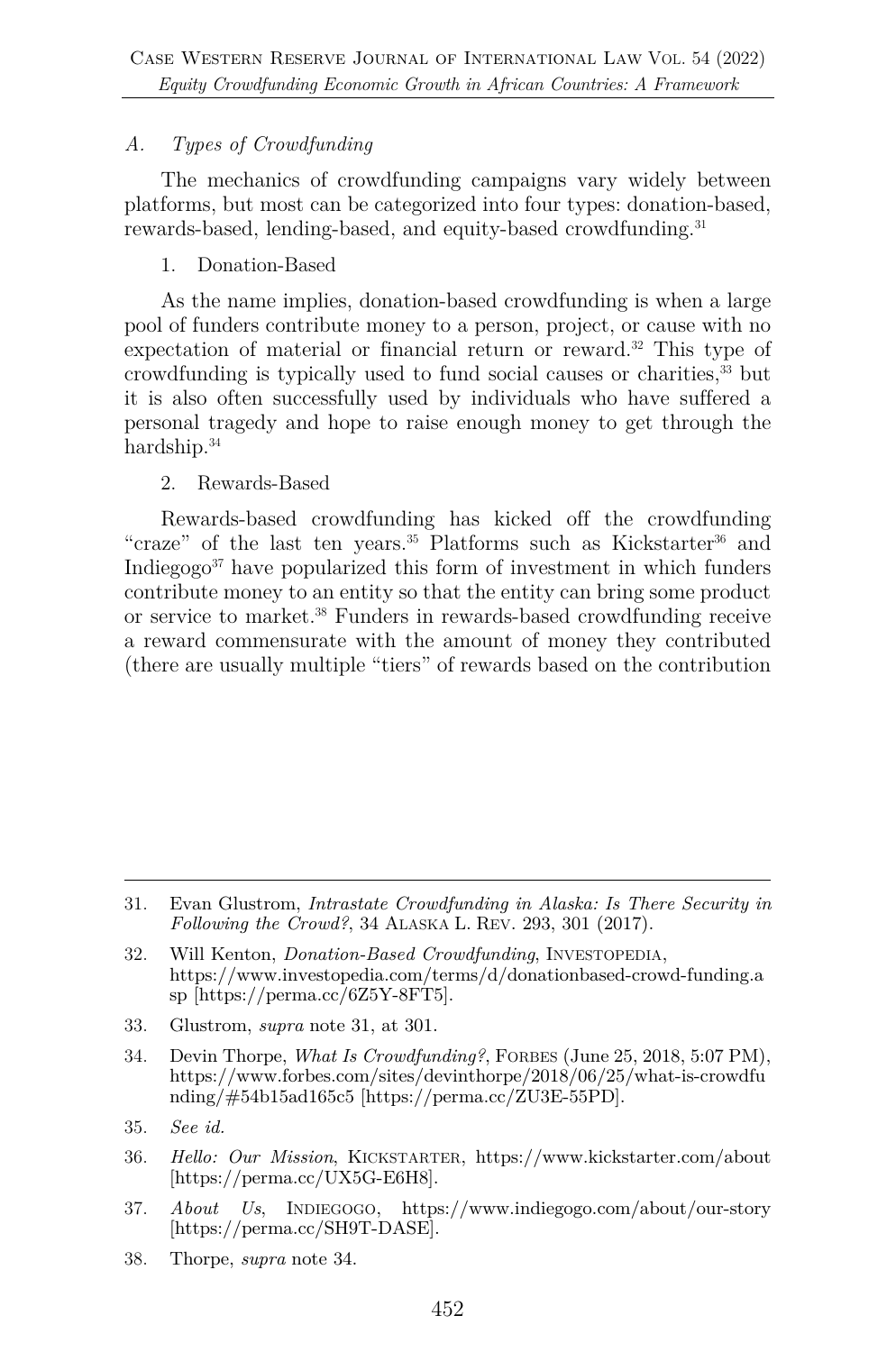## *A. Types of Crowdfunding*

The mechanics of crowdfunding campaigns vary widely between platforms, but most can be categorized into four types: donation-based, rewards-based, lending-based, and equity-based crowdfunding.<sup>31</sup>

1. Donation-Based

As the name implies, donation-based crowdfunding is when a large pool of funders contribute money to a person, project, or cause with no expectation of material or financial return or reward.<sup>32</sup> This type of crowdfunding is typically used to fund social causes or charities,33 but it is also often successfully used by individuals who have suffered a personal tragedy and hope to raise enough money to get through the hardship.<sup>34</sup>

### 2. Rewards-Based

Rewards-based crowdfunding has kicked off the crowdfunding "craze" of the last ten years.<sup>35</sup> Platforms such as Kickstarter<sup>36</sup> and Indiegog $\delta^3$  have popularized this form of investment in which funders contribute money to an entity so that the entity can bring some product or service to market.38 Funders in rewards-based crowdfunding receive a reward commensurate with the amount of money they contributed (there are usually multiple "tiers" of rewards based on the contribution

- 33. Glustrom, *supra* note 31, at 301.
- 34. Devin Thorpe, *What Is Crowdfunding?*, FORBES (June 25, 2018, 5:07 PM), https://www.forbes.com/sites/devinthorpe/2018/06/25/what-is-crowdfu nding/#54b15ad165c5 [https://perma.cc/ZU3E-55PD].
- 35. *See id.*
- 36. *Hello: Our Mission*, KICKSTARTER, https://www.kickstarter.com/about [https://perma.cc/UX5G-E6H8].
- 37. *About Us*, INDIEGOGO, https://www.indiegogo.com/about/our-story [https://perma.cc/SH9T-DASE].
- 38. Thorpe, *supra* note 34.

<sup>31.</sup> Evan Glustrom, *Intrastate Crowdfunding in Alaska: Is There Security in Following the Crowd?*, 34 ALASKA L. REV. 293, 301 (2017).

<sup>32.</sup> Will Kenton, *Donation-Based Crowdfunding*, INVESTOPEDIA, https://www.investopedia.com/terms/d/donationbased-crowd-funding.a sp [https://perma.cc/6Z5Y-8FT5].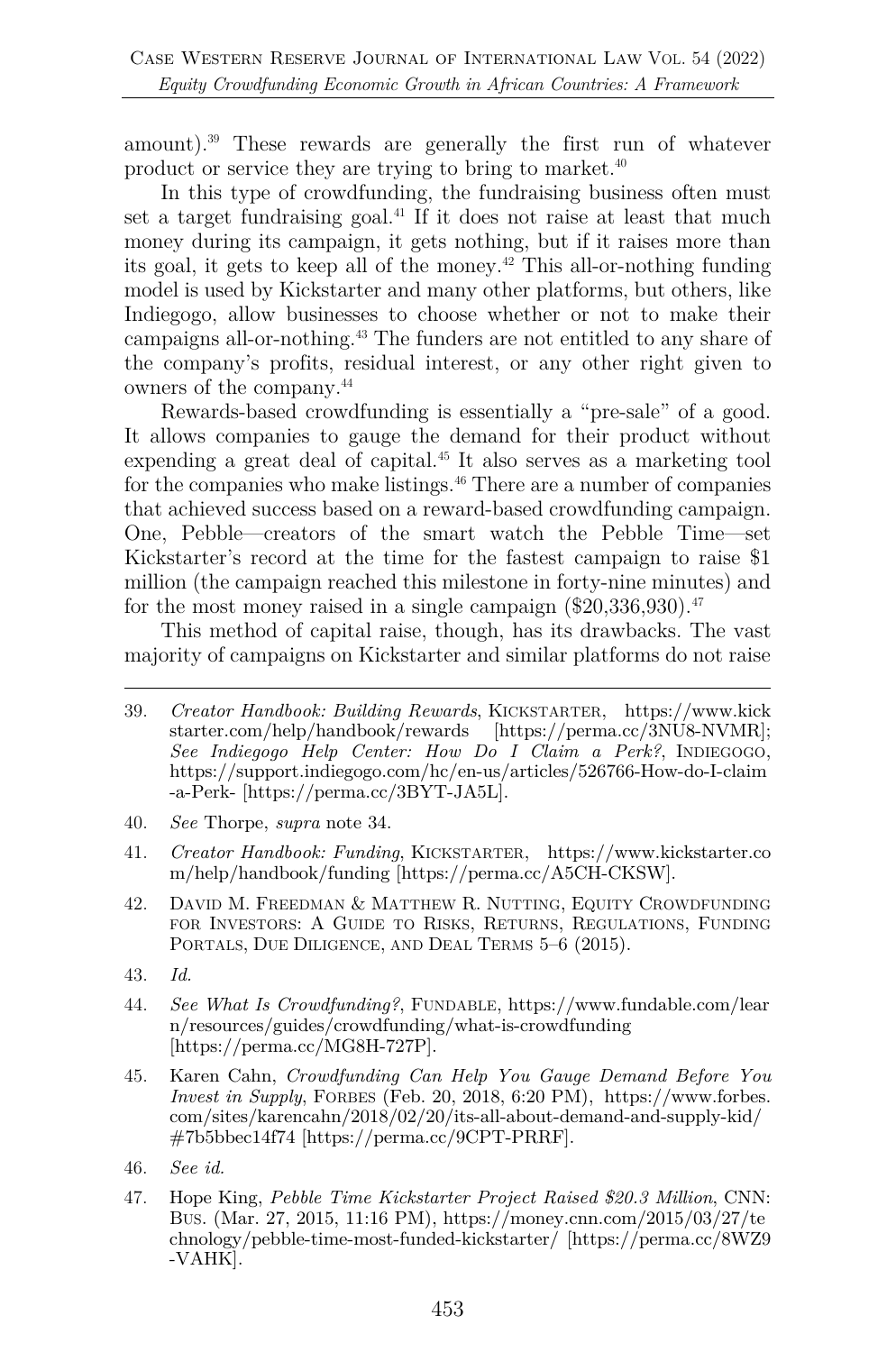amount).39 These rewards are generally the first run of whatever product or service they are trying to bring to market.40

In this type of crowdfunding, the fundraising business often must set a target fundraising goal.<sup>41</sup> If it does not raise at least that much money during its campaign, it gets nothing, but if it raises more than its goal, it gets to keep all of the money.<sup> $42$ </sup> This all-or-nothing funding model is used by Kickstarter and many other platforms, but others, like Indiegogo, allow businesses to choose whether or not to make their campaigns all-or-nothing.43 The funders are not entitled to any share of the company's profits, residual interest, or any other right given to owners of the company.44

Rewards-based crowdfunding is essentially a "pre-sale" of a good. It allows companies to gauge the demand for their product without expending a great deal of capital.<sup>45</sup> It also serves as a marketing tool for the companies who make listings.<sup>46</sup> There are a number of companies that achieved success based on a reward-based crowdfunding campaign. One, Pebble—creators of the smart watch the Pebble Time—set Kickstarter's record at the time for the fastest campaign to raise \$1 million (the campaign reached this milestone in forty-nine minutes) and for the most money raised in a single campaign  $(\$20,336,930)$ <sup>47</sup>

This method of capital raise, though, has its drawbacks. The vast majority of campaigns on Kickstarter and similar platforms do not raise

- 40. *See* Thorpe, *supra* note 34.
- 41. *Creator Handbook: Funding*, KICKSTARTER, https://www.kickstarter.co m/help/handbook/funding [https://perma.cc/A5CH-CKSW].
- 42. DAVID M. FREEDMAN & MATTHEW R. NUTTING, EQUITY CROWDFUNDING FOR INVESTORS: A GUIDE TO RISKS, RETURNS, REGULATIONS, FUNDING PORTALS, DUE DILIGENCE, AND DEAL TERMS 5–6 (2015).
- 43. *Id.*
- 44. *See What Is Crowdfunding?*, FUNDABLE, https://www.fundable.com/lear n/resources/guides/crowdfunding/what-is-crowdfunding [https://perma.cc/MG8H-727P].
- 45. Karen Cahn, *Crowdfunding Can Help You Gauge Demand Before You Invest in Supply*, FORBES (Feb. 20, 2018, 6:20 PM), https://www.forbes. com/sites/karencahn/2018/02/20/its-all-about-demand-and-supply-kid/ #7b5bbec14f74 [https://perma.cc/9CPT-PRRF].
- 46. *See id.*
- 47. Hope King, *Pebble Time Kickstarter Project Raised \$20.3 Million*, CNN: BUS. (Mar. 27, 2015, 11:16 PM), https://money.cnn.com/2015/03/27/te chnology/pebble-time-most-funded-kickstarter/ [https://perma.cc/8WZ9 -VAHK].

<sup>39.</sup> *Creator Handbook: Building Rewards*, KICKSTARTER, https://www.kick starter.com/help/handbook/rewards [https://perma.cc/3NU8-NVMR]; *See Indiegogo Help Center: How Do I Claim a Perk?*, INDIEGOGO, https://support.indiegogo.com/hc/en-us/articles/526766-How-do-I-claim -a-Perk- [https://perma.cc/3BYT-JA5L].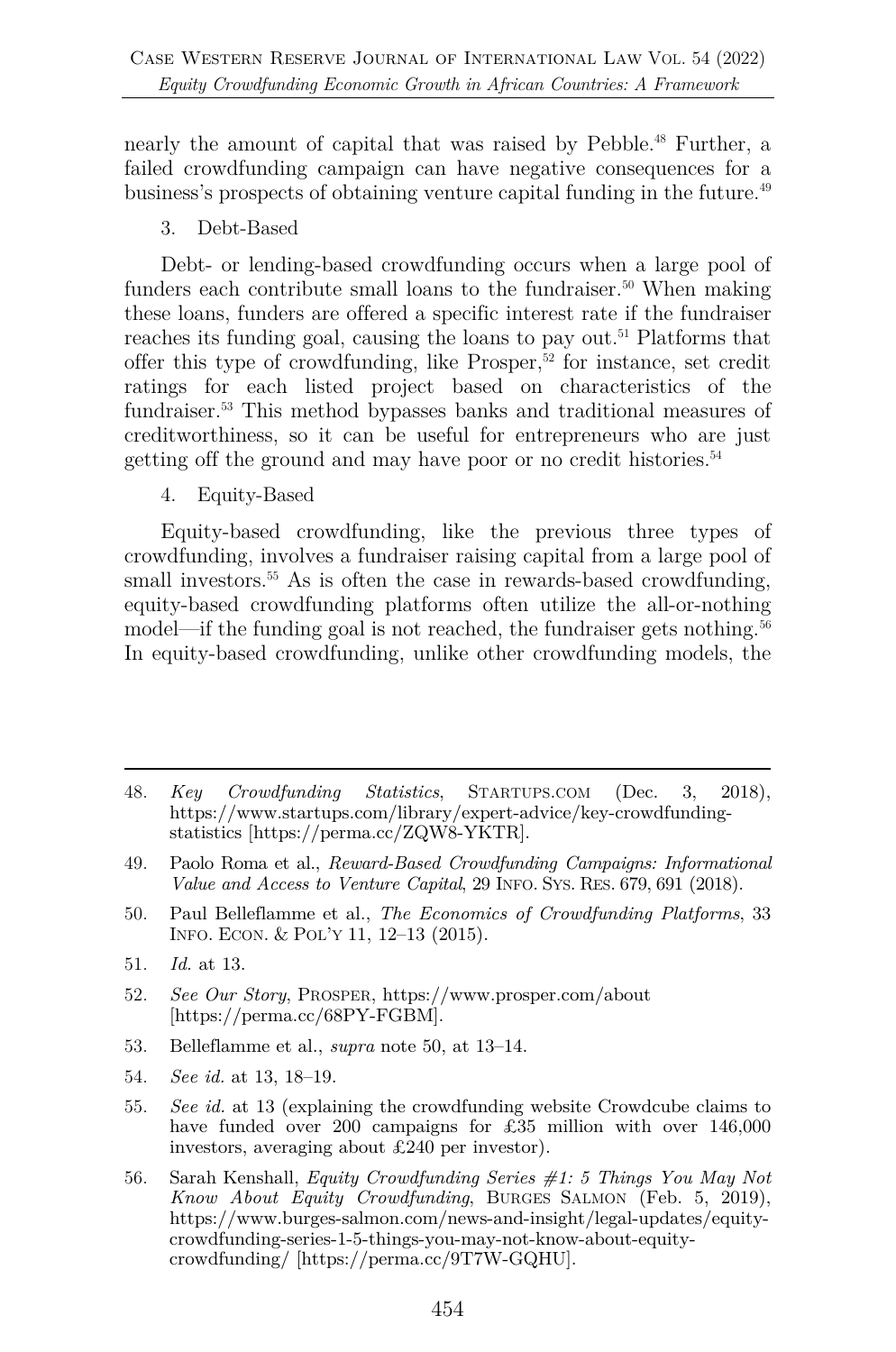nearly the amount of capital that was raised by Pebble.<sup>48</sup> Further, a failed crowdfunding campaign can have negative consequences for a business's prospects of obtaining venture capital funding in the future.<sup>49</sup>

3. Debt-Based

Debt- or lending-based crowdfunding occurs when a large pool of funders each contribute small loans to the fundraiser.<sup>50</sup> When making these loans, funders are offered a specific interest rate if the fundraiser reaches its funding goal, causing the loans to pay out.51 Platforms that offer this type of crowdfunding, like Prosper,52 for instance, set credit ratings for each listed project based on characteristics of the fundraiser.53 This method bypasses banks and traditional measures of creditworthiness, so it can be useful for entrepreneurs who are just getting off the ground and may have poor or no credit histories.<sup>54</sup>

4. Equity-Based

Equity-based crowdfunding, like the previous three types of crowdfunding, involves a fundraiser raising capital from a large pool of small investors.<sup>55</sup> As is often the case in rewards-based crowdfunding, equity-based crowdfunding platforms often utilize the all-or-nothing model—if the funding goal is not reached, the fundraiser gets nothing.<sup>56</sup> In equity-based crowdfunding, unlike other crowdfunding models, the

- 50. Paul Belleflamme et al., *The Economics of Crowdfunding Platforms*, 33 INFO. ECON. & POL'Y 11, 12–13 (2015).
- 51. *Id.* at 13.
- 52. *See Our Story*, PROSPER, https://www.prosper.com/about [https://perma.cc/68PY-FGBM].
- 53. Belleflamme et al., *supra* note 50, at 13–14.
- 54. *See id.* at 13, 18–19.
- 55. *See id.* at 13 (explaining the crowdfunding website Crowdcube claims to have funded over 200 campaigns for £35 million with over 146,000 investors, averaging about £240 per investor).
- 56. Sarah Kenshall, *Equity Crowdfunding Series #1: 5 Things You May Not Know About Equity Crowdfunding*, BURGES SALMON (Feb. 5, 2019), https://www.burges-salmon.com/news-and-insight/legal-updates/equitycrowdfunding-series-1-5-things-you-may-not-know-about-equitycrowdfunding/ [https://perma.cc/9T7W-GQHU].

<sup>48.</sup> *Key Crowdfunding Statistics*, STARTUPS.COM (Dec. 3, 2018), https://www.startups.com/library/expert-advice/key-crowdfundingstatistics [https://perma.cc/ZQW8-YKTR].

<sup>49.</sup> Paolo Roma et al., *Reward-Based Crowdfunding Campaigns: Informational Value and Access to Venture Capital*, 29 INFO. SYS. RES. 679, 691 (2018).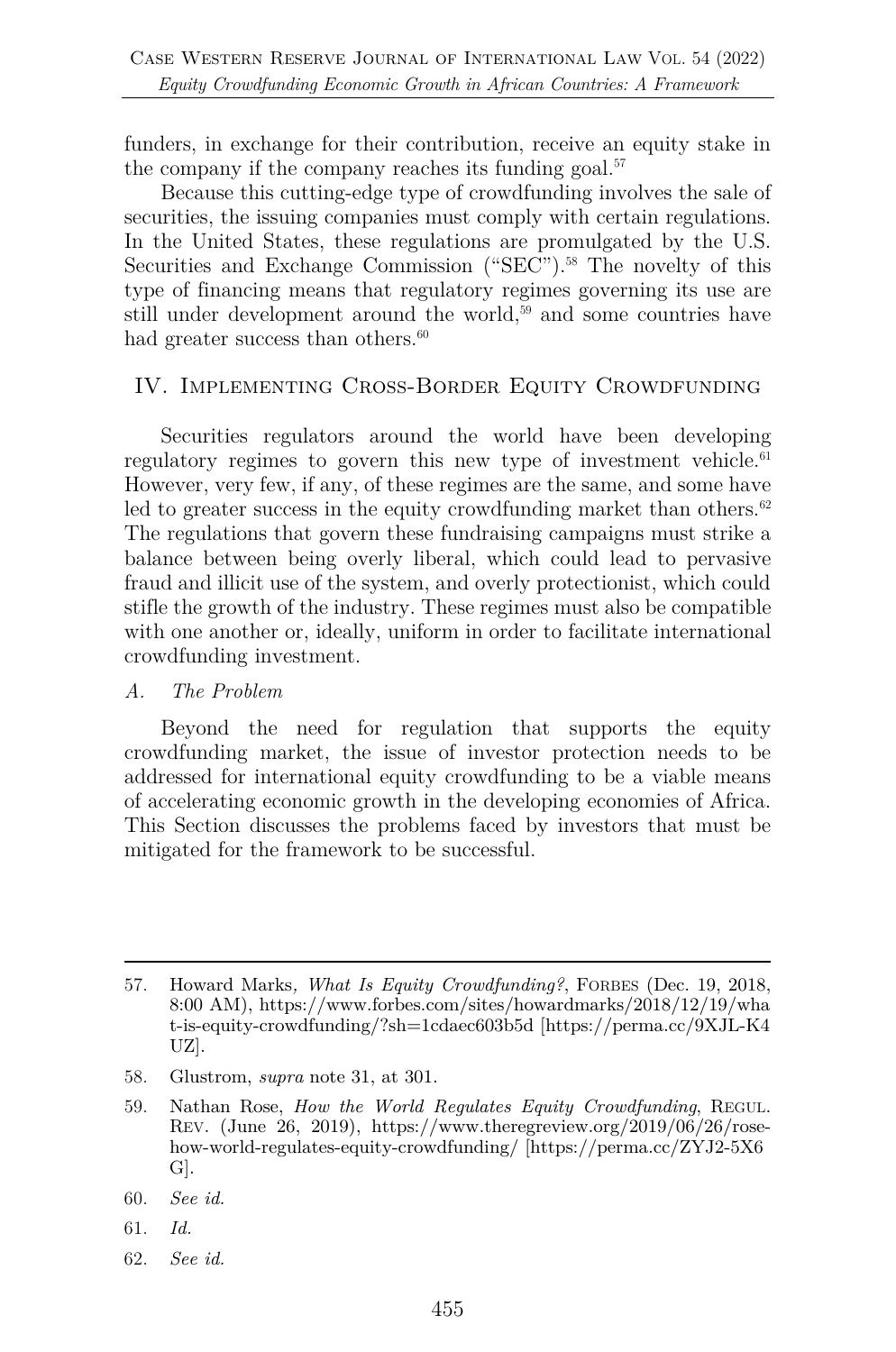funders, in exchange for their contribution, receive an equity stake in the company if the company reaches its funding goal. $57$ 

Because this cutting-edge type of crowdfunding involves the sale of securities, the issuing companies must comply with certain regulations. In the United States, these regulations are promulgated by the U.S. Securities and Exchange Commission ("SEC"). <sup>58</sup> The novelty of this type of financing means that regulatory regimes governing its use are still under development around the world,<sup>59</sup> and some countries have had greater success than others.<sup>60</sup>

#### IV. Implementing Cross-Border Equity Crowdfunding

Securities regulators around the world have been developing regulatory regimes to govern this new type of investment vehicle. $61$ However, very few, if any, of these regimes are the same, and some have led to greater success in the equity crowdfunding market than others. $62$ The regulations that govern these fundraising campaigns must strike a balance between being overly liberal, which could lead to pervasive fraud and illicit use of the system, and overly protectionist, which could stifle the growth of the industry. These regimes must also be compatible with one another or, ideally, uniform in order to facilitate international crowdfunding investment.

#### *A. The Problem*

Beyond the need for regulation that supports the equity crowdfunding market, the issue of investor protection needs to be addressed for international equity crowdfunding to be a viable means of accelerating economic growth in the developing economies of Africa. This Section discusses the problems faced by investors that must be mitigated for the framework to be successful.

- 58. Glustrom, *supra* note 31, at 301.
- 59. Nathan Rose, *How the World Regulates Equity Crowdfunding*, REGUL. REV. (June 26, 2019), https://www.theregreview.org/2019/06/26/rosehow-world-regulates-equity-crowdfunding/ [https://perma.cc/ZYJ2-5X6 G].
- 60. *See id.*
- 61. *Id.*
- 62. *See id.*

<sup>57.</sup> Howard Marks*, What Is Equity Crowdfunding?*, FORBES (Dec. 19, 2018, 8:00 AM), https://www.forbes.com/sites/howardmarks/2018/12/19/wha t-is-equity-crowdfunding/?sh=1cdaec603b5d [https://perma.cc/9XJL-K4 UZ].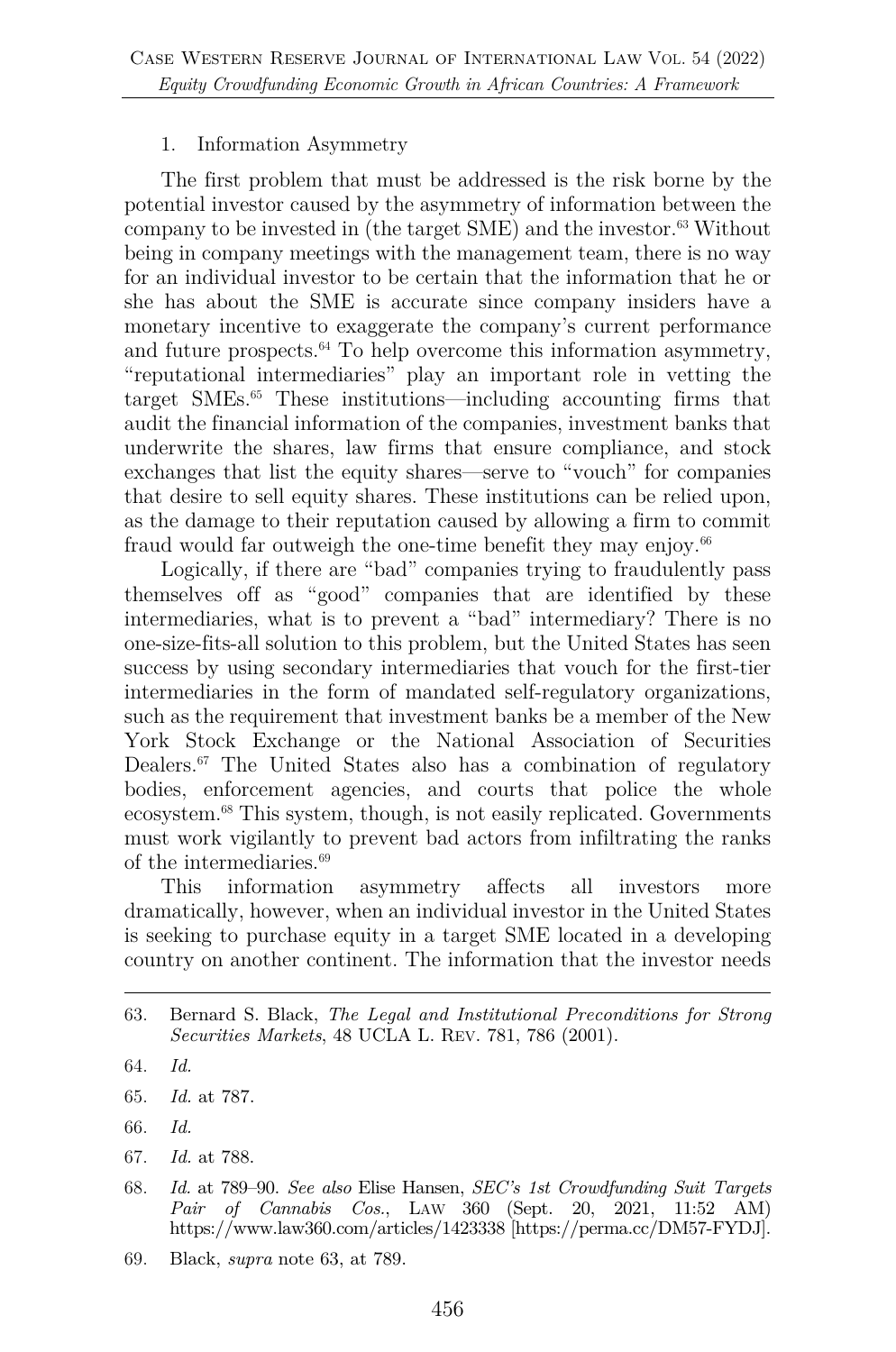#### 1. Information Asymmetry

The first problem that must be addressed is the risk borne by the potential investor caused by the asymmetry of information between the company to be invested in (the target SME) and the investor.63 Without being in company meetings with the management team, there is no way for an individual investor to be certain that the information that he or she has about the SME is accurate since company insiders have a monetary incentive to exaggerate the company's current performance and future prospects. $64$  To help overcome this information asymmetry, "reputational intermediaries" play an important role in vetting the target SMEs. <sup>65</sup> These institutions—including accounting firms that audit the financial information of the companies, investment banks that underwrite the shares, law firms that ensure compliance, and stock exchanges that list the equity shares—serve to "vouch" for companies that desire to sell equity shares. These institutions can be relied upon, as the damage to their reputation caused by allowing a firm to commit fraud would far outweigh the one-time benefit they may enjoy.<sup>66</sup>

Logically, if there are "bad" companies trying to fraudulently pass themselves off as "good" companies that are identified by these intermediaries, what is to prevent a "bad" intermediary? There is no one-size-fits-all solution to this problem, but the United States has seen success by using secondary intermediaries that vouch for the first-tier intermediaries in the form of mandated self-regulatory organizations, such as the requirement that investment banks be a member of the New York Stock Exchange or the National Association of Securities Dealers. <sup>67</sup> The United States also has a combination of regulatory bodies, enforcement agencies, and courts that police the whole ecosystem.68 This system, though, is not easily replicated. Governments must work vigilantly to prevent bad actors from infiltrating the ranks of the intermediaries.69

This information asymmetry affects all investors more dramatically, however, when an individual investor in the United States is seeking to purchase equity in a target SME located in a developing country on another continent. The information that the investor needs

- 65. *Id.* at 787.
- 66. *Id.*
- 67. *Id.* at 788.
- 68. *Id.* at 789–90. *See also* Elise Hansen, *SEC's 1st Crowdfunding Suit Targets Pair of Cannabis Cos.*, LAW 360 (Sept. 20, 2021, 11:52 AM) https://www.law360.com/articles/1423338 [https://perma.cc/DM57-FYDJ].
- 69. Black, *supra* note 63, at 789.

<sup>63.</sup> Bernard S. Black, *The Legal and Institutional Preconditions for Strong Securities Markets*, 48 UCLA L. REV. 781, 786 (2001).

<sup>64.</sup> *Id.*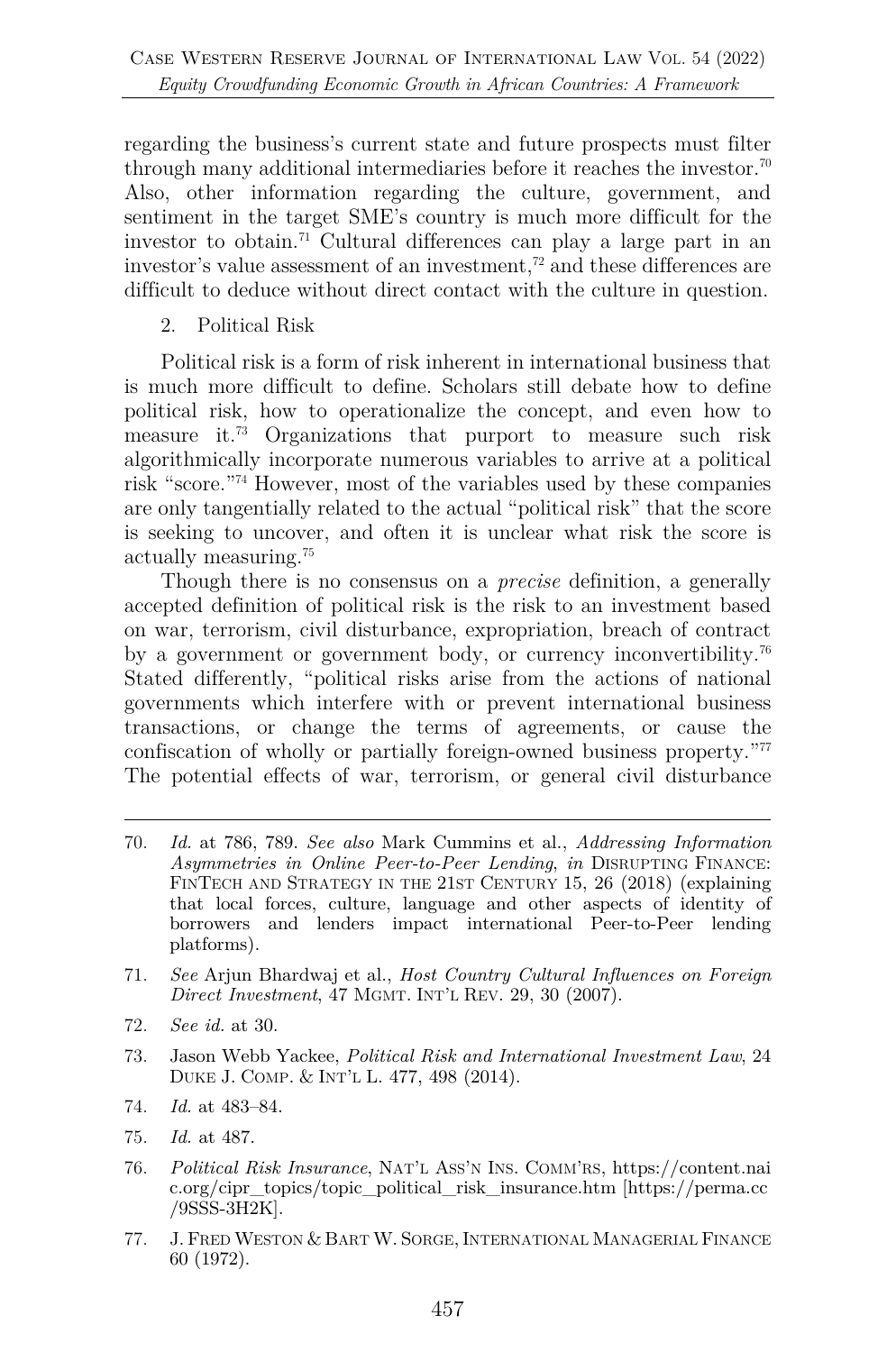regarding the business's current state and future prospects must filter through many additional intermediaries before it reaches the investor.<sup>70</sup> Also, other information regarding the culture, government, and sentiment in the target SME's country is much more difficult for the investor to obtain.71 Cultural differences can play a large part in an investor's value assessment of an investment,<sup>72</sup> and these differences are difficult to deduce without direct contact with the culture in question.

2. Political Risk

Political risk is a form of risk inherent in international business that is much more difficult to define. Scholars still debate how to define political risk, how to operationalize the concept, and even how to measure it.73 Organizations that purport to measure such risk algorithmically incorporate numerous variables to arrive at a political risk "score."74 However, most of the variables used by these companies are only tangentially related to the actual "political risk" that the score is seeking to uncover, and often it is unclear what risk the score is actually measuring.75

Though there is no consensus on a *precise* definition, a generally accepted definition of political risk is the risk to an investment based on war, terrorism, civil disturbance, expropriation, breach of contract by a government or government body, or currency inconvertibility.76 Stated differently, "political risks arise from the actions of national governments which interfere with or prevent international business transactions, or change the terms of agreements, or cause the confiscation of wholly or partially foreign-owned business property."77 The potential effects of war, terrorism, or general civil disturbance

- 70. *Id.* at 786, 789. *See also* Mark Cummins et al., *Addressing Information Asymmetries in Online Peer-to-Peer Lending*, *in* DISRUPTING FINANCE: FINTECH AND STRATEGY IN THE 21ST CENTURY 15, 26 (2018) (explaining that local forces, culture, language and other aspects of identity of borrowers and lenders impact international Peer-to-Peer lending platforms).
- 71. *See* Arjun Bhardwaj et al., *Host Country Cultural Influences on Foreign Direct Investment*, 47 MGMT. INT'L REV. 29, 30 (2007).
- 72. *See id.* at 30.
- 73. Jason Webb Yackee, *Political Risk and International Investment Law*, 24 DUKE J. COMP. & INT'L L. 477, 498 (2014).
- 74. *Id.* at 483–84.
- 75. *Id.* at 487.
- 76. *Political Risk Insurance*, NAT'L ASS'N INS. COMM'RS, https://content.nai c.org/cipr\_topics/topic\_political\_risk\_insurance.htm [https://perma.cc /9SSS-3H2K].
- 77. J. FRED WESTON & BART W. SORGE,INTERNATIONAL MANAGERIAL FINANCE 60 (1972).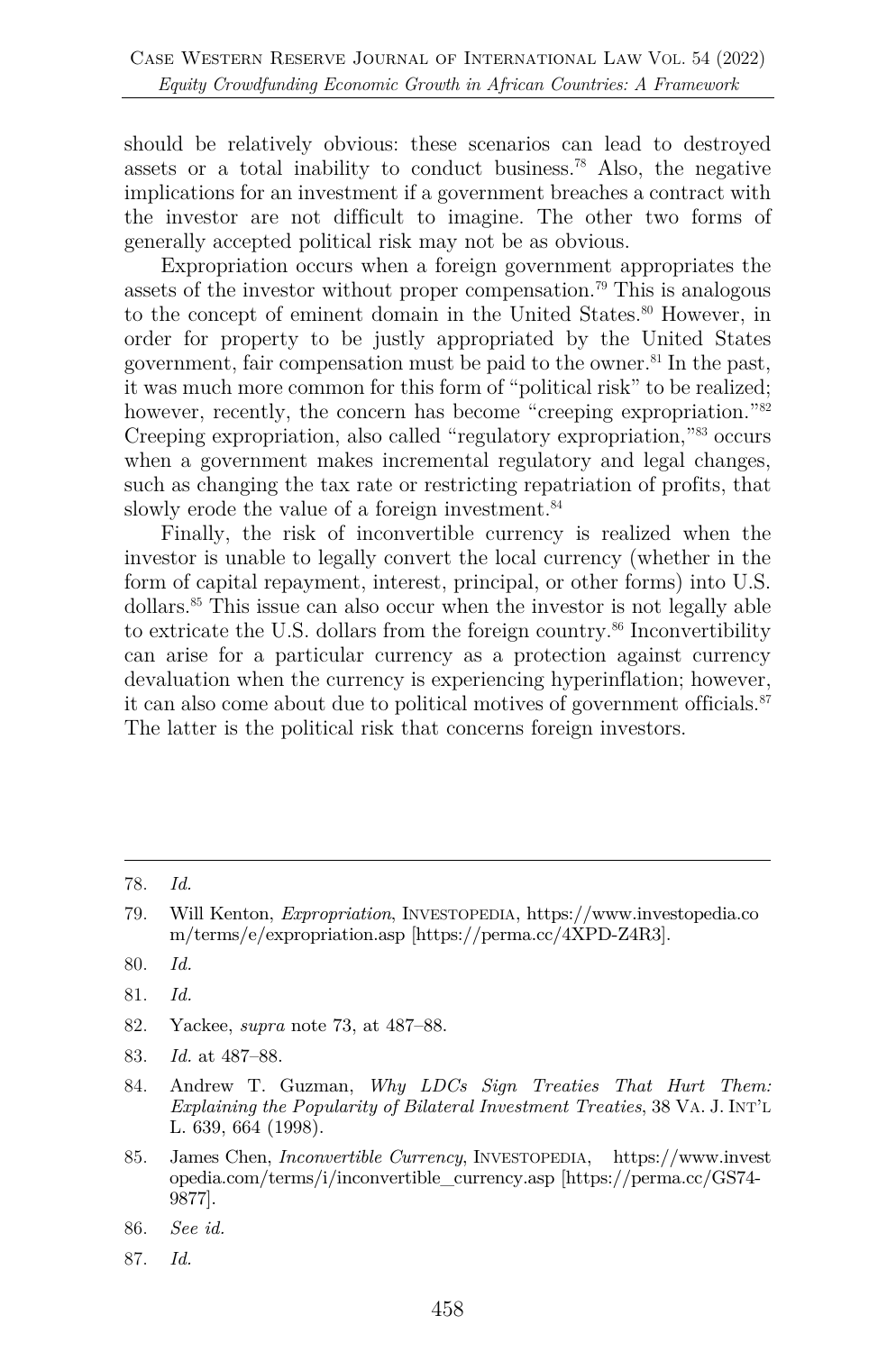should be relatively obvious: these scenarios can lead to destroyed assets or a total inability to conduct business.78 Also, the negative implications for an investment if a government breaches a contract with the investor are not difficult to imagine. The other two forms of generally accepted political risk may not be as obvious.

Expropriation occurs when a foreign government appropriates the assets of the investor without proper compensation.79 This is analogous to the concept of eminent domain in the United States. <sup>80</sup> However, in order for property to be justly appropriated by the United States government, fair compensation must be paid to the owner.<sup>81</sup> In the past, it was much more common for this form of "political risk" to be realized; however, recently, the concern has become "creeping expropriation."<sup>82</sup> Creeping expropriation, also called "regulatory expropriation,"83 occurs when a government makes incremental regulatory and legal changes, such as changing the tax rate or restricting repatriation of profits, that slowly erode the value of a foreign investment.<sup>84</sup>

Finally, the risk of inconvertible currency is realized when the investor is unable to legally convert the local currency (whether in the form of capital repayment, interest, principal, or other forms) into U.S. dollars.85 This issue can also occur when the investor is not legally able to extricate the U.S. dollars from the foreign country. <sup>86</sup> Inconvertibility can arise for a particular currency as a protection against currency devaluation when the currency is experiencing hyperinflation; however, it can also come about due to political motives of government officials. $87$ The latter is the political risk that concerns foreign investors.

- 82. Yackee, *supra* note 73, at 487–88.
- 83. *Id.* at 487–88.
- 84. Andrew T. Guzman, *Why LDCs Sign Treaties That Hurt Them: Explaining the Popularity of Bilateral Investment Treaties*, 38 VA. J. INT'L L. 639, 664 (1998).
- 85. James Chen, *Inconvertible Currency*, INVESTOPEDIA, https://www.invest opedia.com/terms/i/inconvertible\_currency.asp [https://perma.cc/GS74- 9877].
- 86. *See id.*
- 87. *Id.*

<sup>78.</sup> *Id.*

<sup>79.</sup> Will Kenton, *Expropriation*, INVESTOPEDIA, https://www.investopedia.co m/terms/e/expropriation.asp [https://perma.cc/4XPD-Z4R3].

<sup>80.</sup> *Id.*

<sup>81.</sup> *Id.*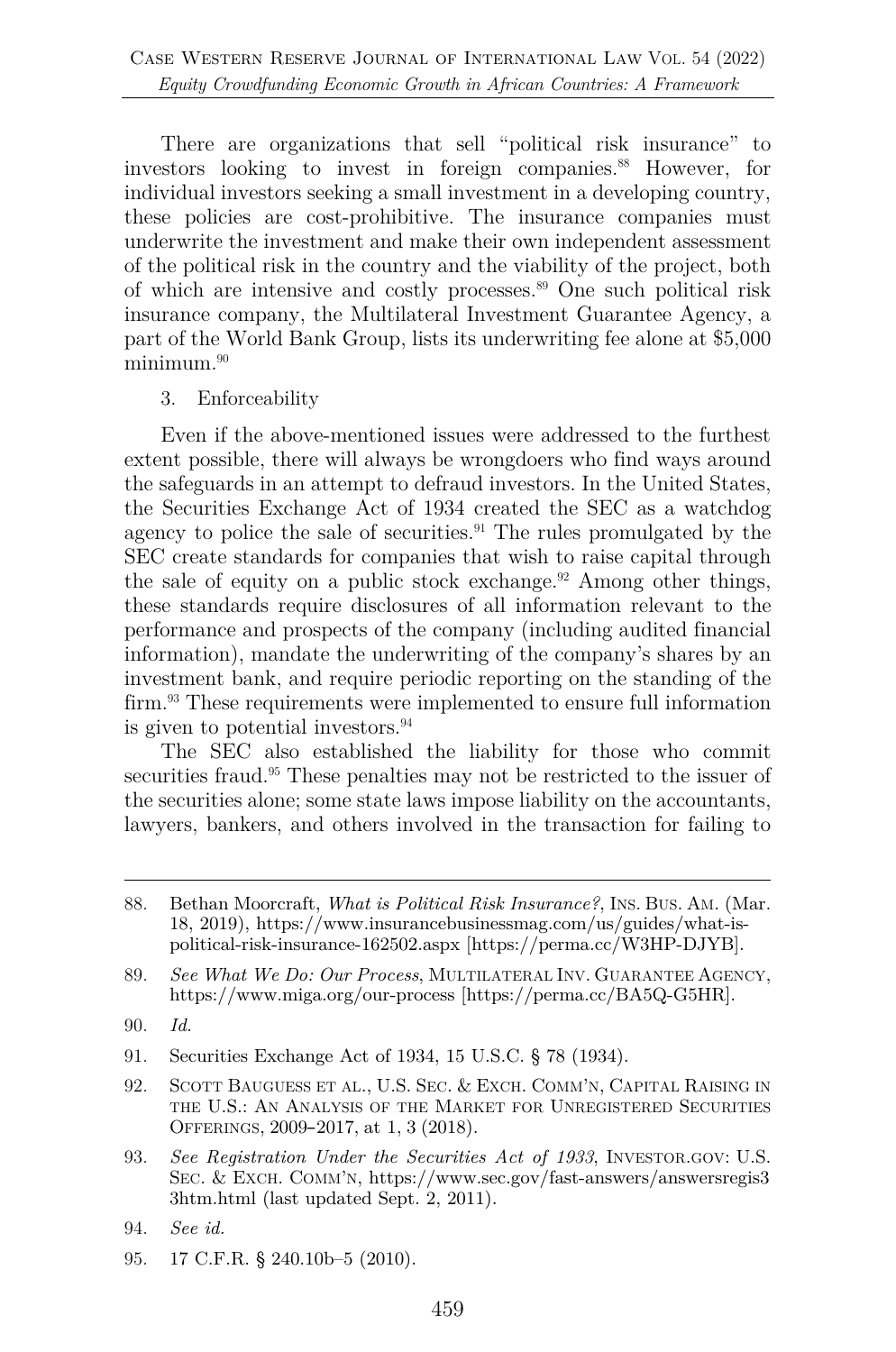There are organizations that sell "political risk insurance" to investors looking to invest in foreign companies.<sup>88</sup> However, for individual investors seeking a small investment in a developing country, these policies are cost-prohibitive. The insurance companies must underwrite the investment and make their own independent assessment of the political risk in the country and the viability of the project, both of which are intensive and costly processes.<sup>89</sup> One such political risk insurance company, the Multilateral Investment Guarantee Agency, a part of the World Bank Group, lists its underwriting fee alone at \$5,000 minimum.<sup>90</sup>

3. Enforceability

Even if the above-mentioned issues were addressed to the furthest extent possible, there will always be wrongdoers who find ways around the safeguards in an attempt to defraud investors. In the United States, the Securities Exchange Act of 1934 created the SEC as a watchdog agency to police the sale of securities.<sup>91</sup> The rules promulgated by the SEC create standards for companies that wish to raise capital through the sale of equity on a public stock exchange.<sup>92</sup> Among other things, these standards require disclosures of all information relevant to the performance and prospects of the company (including audited financial information), mandate the underwriting of the company's shares by an investment bank, and require periodic reporting on the standing of the firm.<sup>93</sup> These requirements were implemented to ensure full information is given to potential investors.94

The SEC also established the liability for those who commit securities fraud.<sup>95</sup> These penalties may not be restricted to the issuer of the securities alone; some state laws impose liability on the accountants, lawyers, bankers, and others involved in the transaction for failing to

- 91. Securities Exchange Act of 1934, 15 U.S.C. § 78 (1934).
- 92. SCOTT BAUGUESS ET AL., U.S. SEC. & EXCH. COMM'N, CAPITAL RAISING IN THE U.S.: AN ANALYSIS OF THE MARKET FOR UNREGISTERED SECURITIES OFFERINGS, 2009–2017, at 1, 3 (2018).
- 93. *See Registration Under the Securities Act of 1933*, INVESTOR.GOV: U.S. SEC. & EXCH. COMM'N, https://www.sec.gov/fast-answers/answersregis3 3htm.html (last updated Sept. 2, 2011).
- 94. *See id.*
- 95. 17 C.F.R. § 240.10b–5 (2010).

<sup>88.</sup> Bethan Moorcraft, *What is Political Risk Insurance?*, INS. BUS. AM. (Mar. 18, 2019), https://www.insurancebusinessmag.com/us/guides/what-ispolitical-risk-insurance-162502.aspx [https://perma.cc/W3HP-DJYB].

<sup>89.</sup> *See What We Do: Our Process*, MULTILATERAL INV. GUARANTEE AGENCY, https://www.miga.org/our-process [https://perma.cc/BA5Q-G5HR].

<sup>90.</sup> *Id.*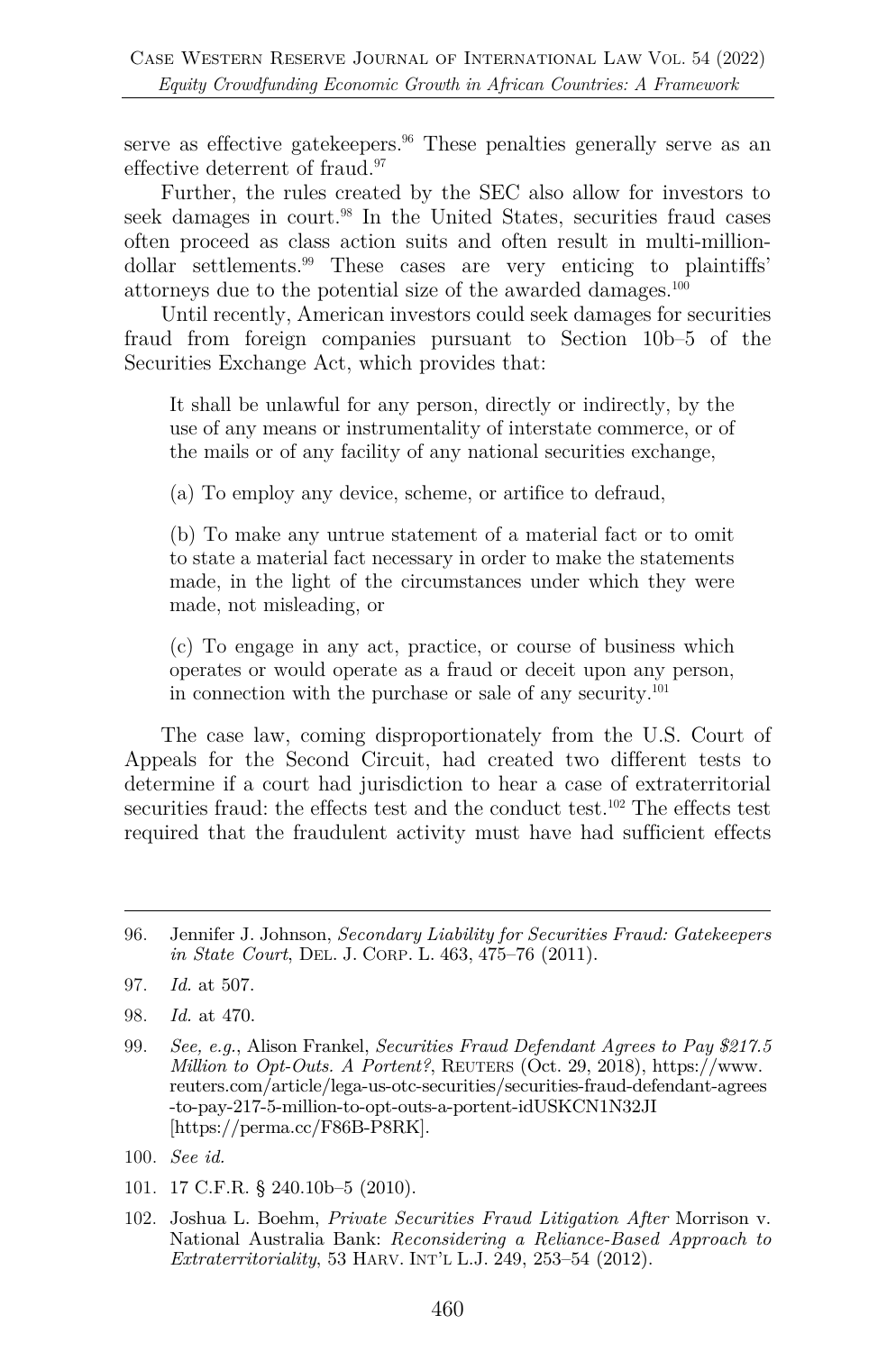serve as effective gatekeepers.<sup>96</sup> These penalties generally serve as an effective deterrent of fraud.97

Further, the rules created by the SEC also allow for investors to seek damages in court.<sup>98</sup> In the United States, securities fraud cases often proceed as class action suits and often result in multi-milliondollar settlements.99 These cases are very enticing to plaintiffs' attorneys due to the potential size of the awarded damages.100

Until recently, American investors could seek damages for securities fraud from foreign companies pursuant to Section 10b–5 of the Securities Exchange Act, which provides that:

It shall be unlawful for any person, directly or indirectly, by the use of any means or instrumentality of interstate commerce, or of the mails or of any facility of any national securities exchange,

(a) To employ any device, scheme, or artifice to defraud,

(b) To make any untrue statement of a material fact or to omit to state a material fact necessary in order to make the statements made, in the light of the circumstances under which they were made, not misleading, or

(c) To engage in any act, practice, or course of business which operates or would operate as a fraud or deceit upon any person, in connection with the purchase or sale of any security.101

The case law, coming disproportionately from the U.S. Court of Appeals for the Second Circuit, had created two different tests to determine if a court had jurisdiction to hear a case of extraterritorial securities fraud: the effects test and the conduct test.<sup>102</sup> The effects test required that the fraudulent activity must have had sufficient effects

102. Joshua L. Boehm, *Private Securities Fraud Litigation After* Morrison v. National Australia Bank: *Reconsidering a Reliance-Based Approach to Extraterritoriality*, 53 HARV. INT'L L.J. 249, 253–54 (2012).

<sup>96.</sup> Jennifer J. Johnson, *Secondary Liability for Securities Fraud: Gatekeepers in State Court*, DEL. J. CORP. L. 463, 475–76 (2011).

<sup>97.</sup> *Id.* at 507.

<sup>98.</sup> *Id.* at 470.

<sup>99.</sup> *See, e.g.*, Alison Frankel, *Securities Fraud Defendant Agrees to Pay \$217.5 Million to Opt-Outs. A Portent?*, REUTERS (Oct. 29, 2018), https://www. reuters.com/article/lega-us-otc-securities/securities-fraud-defendant-agrees -to-pay-217-5-million-to-opt-outs-a-portent-idUSKCN1N32JI [https://perma.cc/F86B-P8RK].

<sup>100.</sup> *See id.*

<sup>101.</sup> 17 C.F.R. § 240.10b–5 (2010).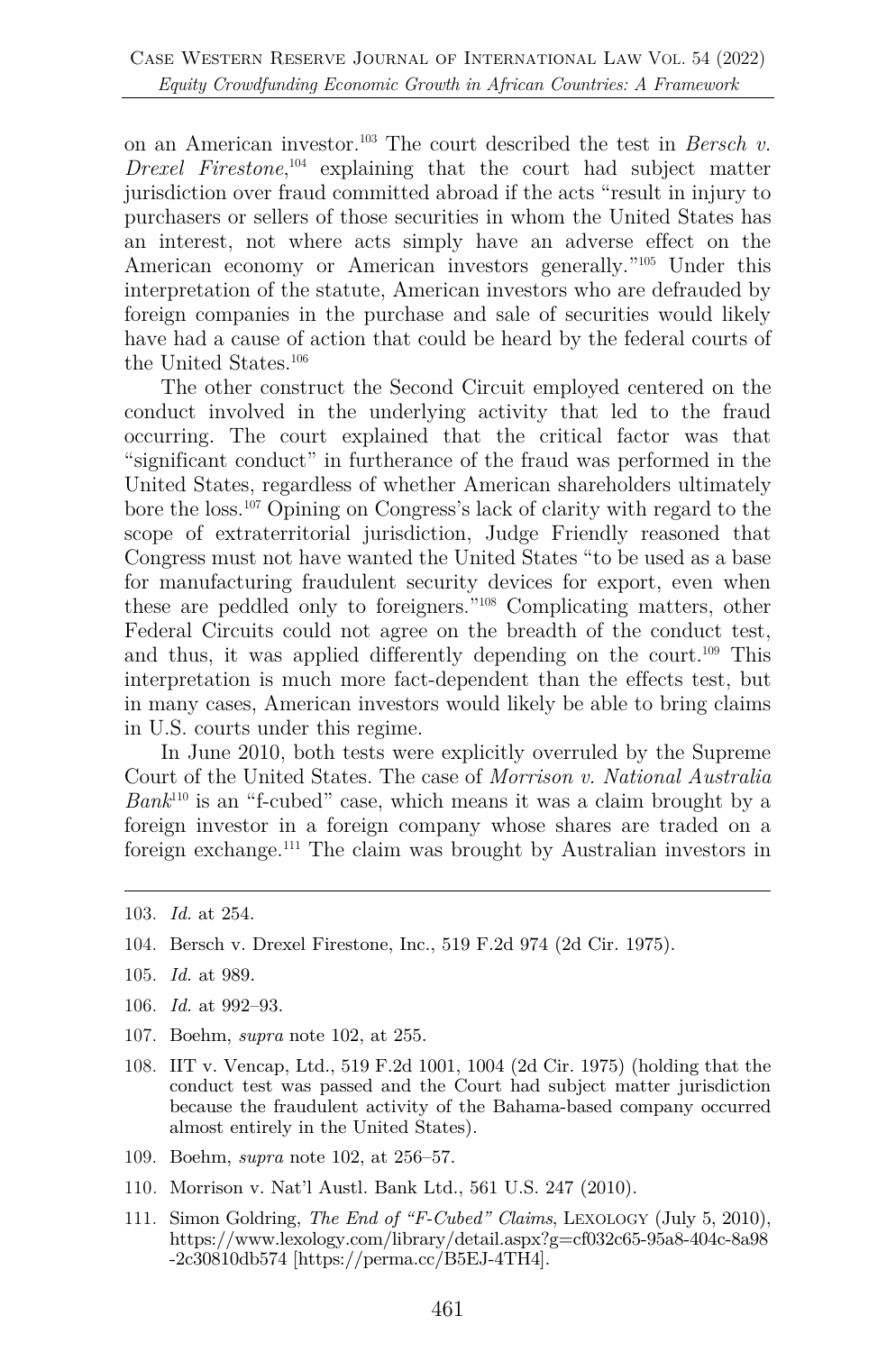on an American investor.103 The court described the test in *Bersch v. Drexel Firestone*, <sup>104</sup> explaining that the court had subject matter jurisdiction over fraud committed abroad if the acts "result in injury to purchasers or sellers of those securities in whom the United States has an interest, not where acts simply have an adverse effect on the American economy or American investors generally."105 Under this interpretation of the statute, American investors who are defrauded by foreign companies in the purchase and sale of securities would likely have had a cause of action that could be heard by the federal courts of the United States.<sup>106</sup>

The other construct the Second Circuit employed centered on the conduct involved in the underlying activity that led to the fraud occurring. The court explained that the critical factor was that "significant conduct" in furtherance of the fraud was performed in the United States, regardless of whether American shareholders ultimately bore the loss.107 Opining on Congress's lack of clarity with regard to the scope of extraterritorial jurisdiction, Judge Friendly reasoned that Congress must not have wanted the United States "to be used as a base for manufacturing fraudulent security devices for export, even when these are peddled only to foreigners."108 Complicating matters, other Federal Circuits could not agree on the breadth of the conduct test, and thus, it was applied differently depending on the court.109 This interpretation is much more fact-dependent than the effects test, but in many cases, American investors would likely be able to bring claims in U.S. courts under this regime.

In June 2010, both tests were explicitly overruled by the Supreme Court of the United States. The case of *Morrison v. National Australia Bank*<sup>110</sup> is an "f-cubed" case, which means it was a claim brought by a foreign investor in a foreign company whose shares are traded on a foreign exchange.111 The claim was brought by Australian investors in

- 104. Bersch v. Drexel Firestone, Inc., 519 F.2d 974 (2d Cir. 1975).
- 105. *Id.* at 989.
- 106. *Id.* at 992–93.
- 107. Boehm, *supra* note 102, at 255.
- 108. IIT v. Vencap, Ltd., 519 F.2d 1001, 1004 (2d Cir. 1975) (holding that the conduct test was passed and the Court had subject matter jurisdiction because the fraudulent activity of the Bahama-based company occurred almost entirely in the United States).
- 109. Boehm, *supra* note 102, at 256–57.
- 110*.* Morrison v. Nat'l Austl. Bank Ltd., 561 U.S. 247 (2010).
- 111. Simon Goldring, *The End of "F-Cubed" Claims*, LEXOLOGY (July 5, 2010), https://www.lexology.com/library/detail.aspx?g=cf032c65-95a8-404c-8a98 -2c30810db574 [https://perma.cc/B5EJ-4TH4].

<sup>103.</sup> *Id.* at 254.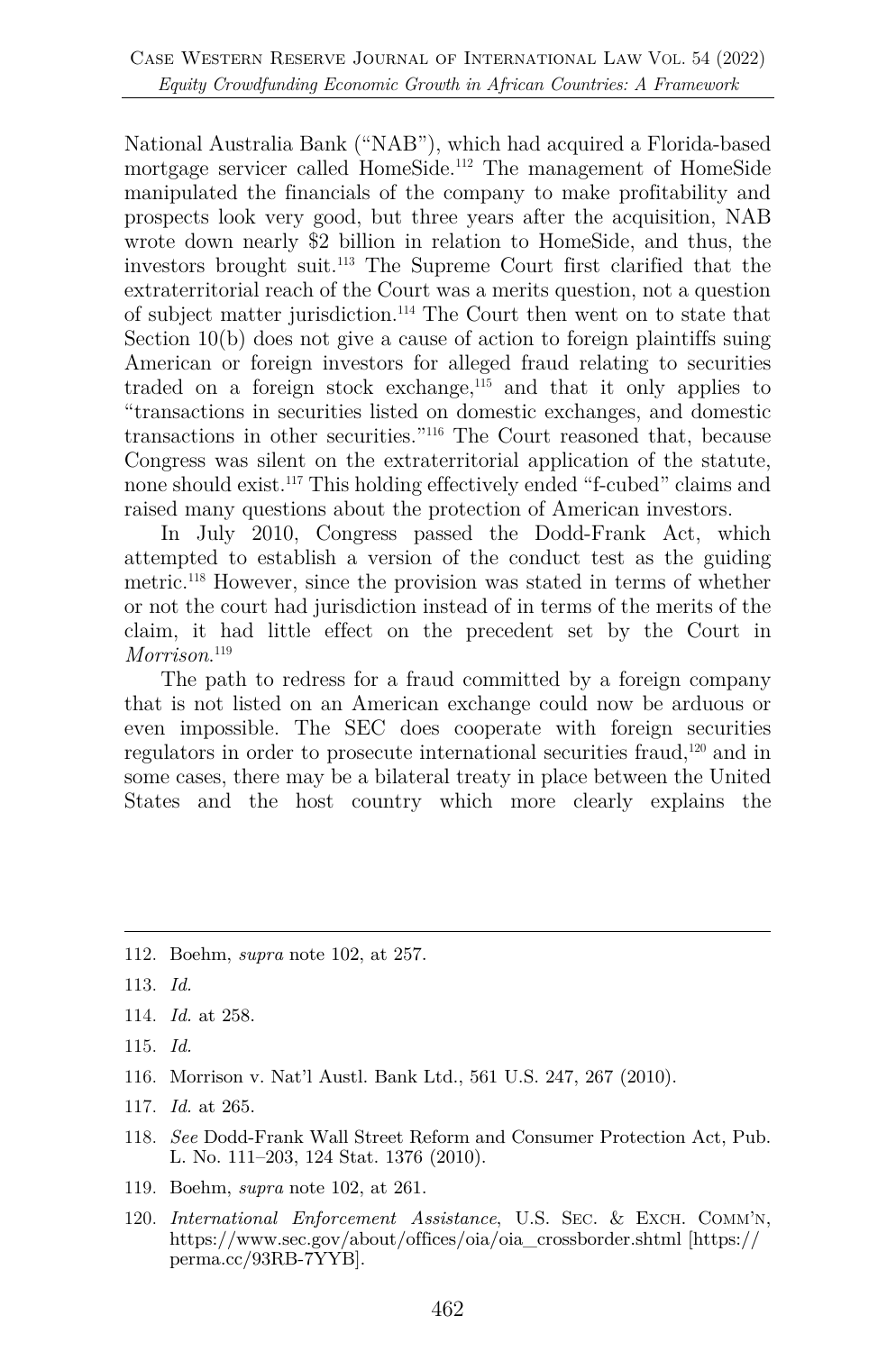National Australia Bank ("NAB"), which had acquired a Florida-based mortgage servicer called HomeSide.<sup>112</sup> The management of HomeSide manipulated the financials of the company to make profitability and prospects look very good, but three years after the acquisition, NAB wrote down nearly \$2 billion in relation to HomeSide, and thus, the investors brought suit.113 The Supreme Court first clarified that the extraterritorial reach of the Court was a merits question, not a question of subject matter jurisdiction.114 The Court then went on to state that Section 10(b) does not give a cause of action to foreign plaintiffs suing American or foreign investors for alleged fraud relating to securities traded on a foreign stock exchange,<sup>115</sup> and that it only applies to "transactions in securities listed on domestic exchanges, and domestic transactions in other securities."116 The Court reasoned that, because Congress was silent on the extraterritorial application of the statute, none should exist.117 This holding effectively ended "f-cubed" claims and raised many questions about the protection of American investors.

In July 2010, Congress passed the Dodd-Frank Act, which attempted to establish a version of the conduct test as the guiding metric. <sup>118</sup> However, since the provision was stated in terms of whether or not the court had jurisdiction instead of in terms of the merits of the claim, it had little effect on the precedent set by the Court in *Morrison*. 119

The path to redress for a fraud committed by a foreign company that is not listed on an American exchange could now be arduous or even impossible. The SEC does cooperate with foreign securities regulators in order to prosecute international securities fraud,120 and in some cases, there may be a bilateral treaty in place between the United States and the host country which more clearly explains the

- 114. *Id.* at 258.
- 115. *Id.*
- 116. Morrison v. Nat'l Austl. Bank Ltd., 561 U.S. 247, 267 (2010).
- 117. *Id.* at 265.
- 118. *See* Dodd-Frank Wall Street Reform and Consumer Protection Act, Pub. L. No. 111–203, 124 Stat. 1376 (2010).
- 119. Boehm, *supra* note 102, at 261.
- 120. *International Enforcement Assistance*, U.S. SEC. & EXCH. COMM'N, https://www.sec.gov/about/offices/oia/oia\_crossborder.shtml [https:// perma.cc/93RB-7YYB].

<sup>112.</sup> Boehm, *supra* note 102, at 257.

<sup>113.</sup> *Id.*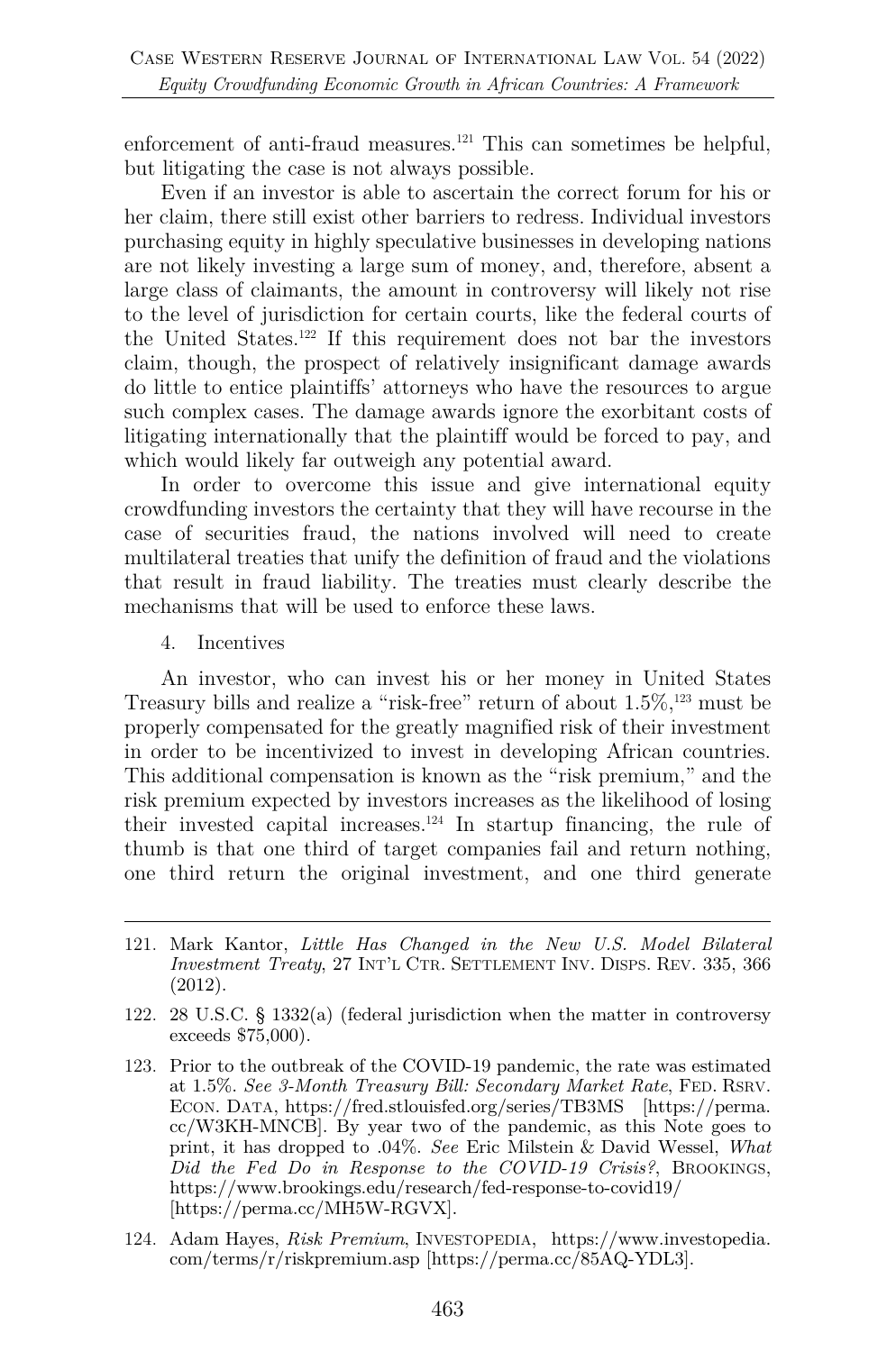enforcement of anti-fraud measures.<sup>121</sup> This can sometimes be helpful, but litigating the case is not always possible.

Even if an investor is able to ascertain the correct forum for his or her claim, there still exist other barriers to redress. Individual investors purchasing equity in highly speculative businesses in developing nations are not likely investing a large sum of money, and, therefore, absent a large class of claimants, the amount in controversy will likely not rise to the level of jurisdiction for certain courts, like the federal courts of the United States.122 If this requirement does not bar the investors claim, though, the prospect of relatively insignificant damage awards do little to entice plaintiffs' attorneys who have the resources to argue such complex cases. The damage awards ignore the exorbitant costs of litigating internationally that the plaintiff would be forced to pay, and which would likely far outweigh any potential award.

In order to overcome this issue and give international equity crowdfunding investors the certainty that they will have recourse in the case of securities fraud, the nations involved will need to create multilateral treaties that unify the definition of fraud and the violations that result in fraud liability. The treaties must clearly describe the mechanisms that will be used to enforce these laws.

4. Incentives

An investor, who can invest his or her money in United States Treasury bills and realize a "risk-free" return of about  $1.5\%,^{123}$  must be properly compensated for the greatly magnified risk of their investment in order to be incentivized to invest in developing African countries. This additional compensation is known as the "risk premium," and the risk premium expected by investors increases as the likelihood of losing their invested capital increases. $124$  In startup financing, the rule of thumb is that one third of target companies fail and return nothing, one third return the original investment, and one third generate

- 121. Mark Kantor, *Little Has Changed in the New U.S. Model Bilateral Investment Treaty*, 27 INT'L CTR. SETTLEMENT INV. DISPS. REV. 335, 366 (2012).
- 122. 28 U.S.C. § 1332(a) (federal jurisdiction when the matter in controversy exceeds \$75,000).
- 123. Prior to the outbreak of the COVID-19 pandemic, the rate was estimated at 1.5%. *See 3-Month Treasury Bill: Secondary Market Rate*, FED. RSRV. ECON. DATA, https://fred.stlouisfed.org/series/TB3MS [https://perma. cc/W3KH-MNCB]. By year two of the pandemic, as this Note goes to print, it has dropped to .04%. *See* Eric Milstein & David Wessel, *What Did the Fed Do in Response to the COVID-19 Crisis?*, BROOKINGS, https://www.brookings.edu/research/fed-response-to-covid19/ [https://perma.cc/MH5W-RGVX].
- 124. Adam Hayes, *Risk Premium*, INVESTOPEDIA, https://www.investopedia. com/terms/r/riskpremium.asp [https://perma.cc/85AQ-YDL3].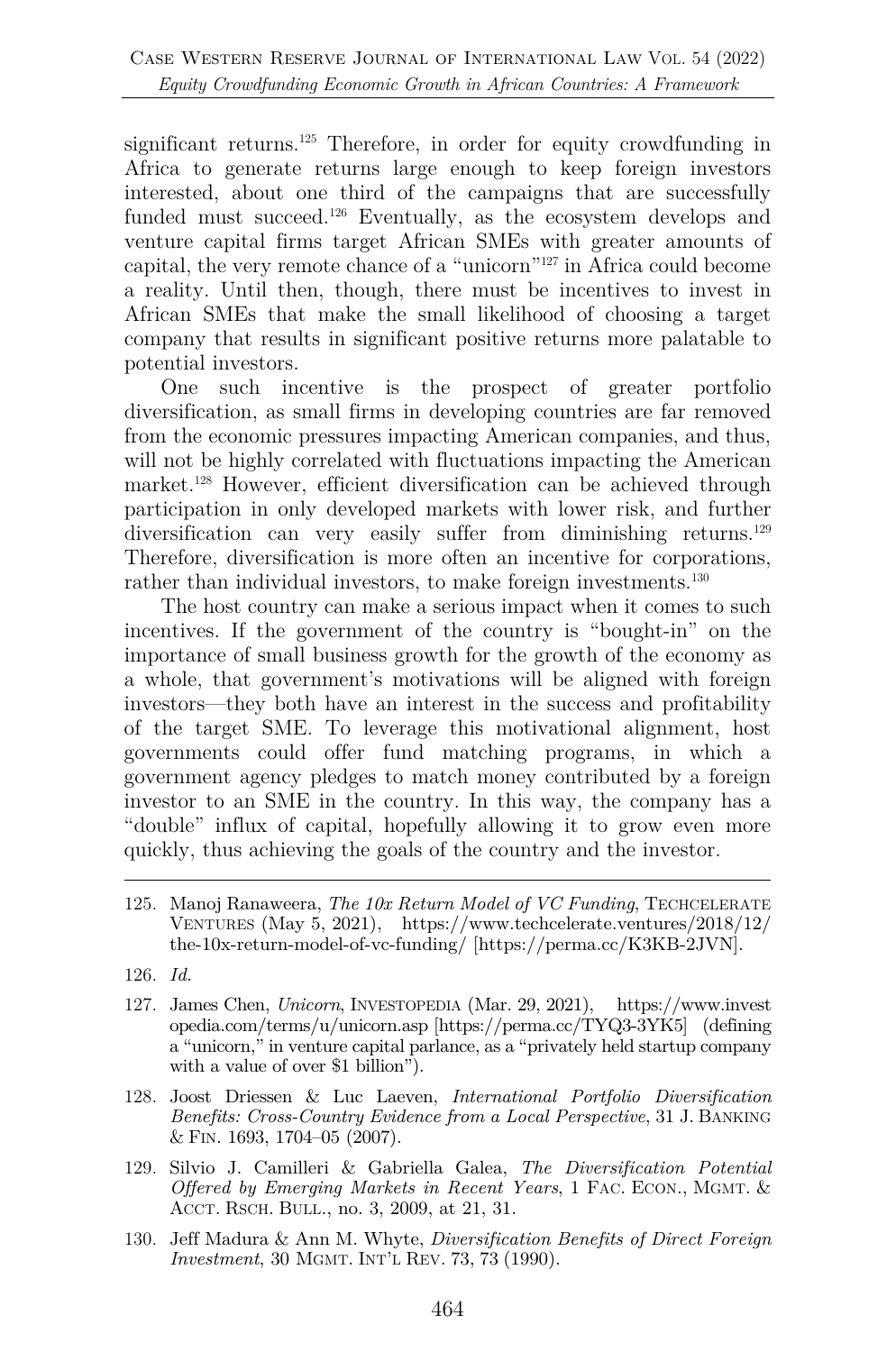significant returns.<sup>125</sup> Therefore, in order for equity crowdfunding in Africa to generate returns large enough to keep foreign investors interested, about one third of the campaigns that are successfully funded must succeed.<sup>126</sup> Eventually, as the ecosystem develops and venture capital firms target African SMEs with greater amounts of capital, the very remote chance of a "unicorn"127 in Africa could become a reality. Until then, though, there must be incentives to invest in African SMEs that make the small likelihood of choosing a target company that results in significant positive returns more palatable to potential investors.

One such incentive is the prospect of greater portfolio diversification, as small firms in developing countries are far removed from the economic pressures impacting American companies, and thus, will not be highly correlated with fluctuations impacting the American market.<sup>128</sup> However, efficient diversification can be achieved through participation in only developed markets with lower risk, and further diversification can very easily suffer from diminishing returns.<sup>129</sup> Therefore, diversification is more often an incentive for corporations, rather than individual investors, to make foreign investments.<sup>130</sup>

The host country can make a serious impact when it comes to such incentives. If the government of the country is "bought-in" on the importance of small business growth for the growth of the economy as a whole, that government's motivations will be aligned with foreign investors—they both have an interest in the success and profitability of the target SME. To leverage this motivational alignment, host governments could offer fund matching programs, in which a government agency pledges to match money contributed by a foreign investor to an SME in the country. In this way, the company has a "double" influx of capital, hopefully allowing it to grow even more quickly, thus achieving the goals of the country and the investor.

- 125. Manoj Ranaweera, *The 10x Return Model of VC Funding*, TECHCELERATE VENTURES (May 5, 2021), https://www.techcelerate.ventures/2018/12/ the-10x-return-model-of-vc-funding/ [https://perma.cc/K3KB-2JVN].
- 126. *Id.*
- 127. James Chen, *Unicorn*, INVESTOPEDIA (Mar. 29, 2021), https://www.invest opedia.com/terms/u/unicorn.asp [https://perma.cc/TYQ3-3YK5] (defining a "unicorn," in venture capital parlance, as a "privately held startup company with a value of over \$1 billion".
- 128. Joost Driessen & Luc Laeven, *International Portfolio Diversification Benefits: Cross-Country Evidence from a Local Perspective*, 31 J. BANKING & FIN. 1693, 1704–05 (2007).
- 129. Silvio J. Camilleri & Gabriella Galea, *The Diversification Potential Offered by Emerging Markets in Recent Years*, 1 FAC. ECON., MGMT. & ACCT. RSCH. BULL., no. 3, 2009, at 21, 31.
- 130. Jeff Madura & Ann M. Whyte, *Diversification Benefits of Direct Foreign Investment*, 30 MGMT. INT'L REV. 73, 73 (1990).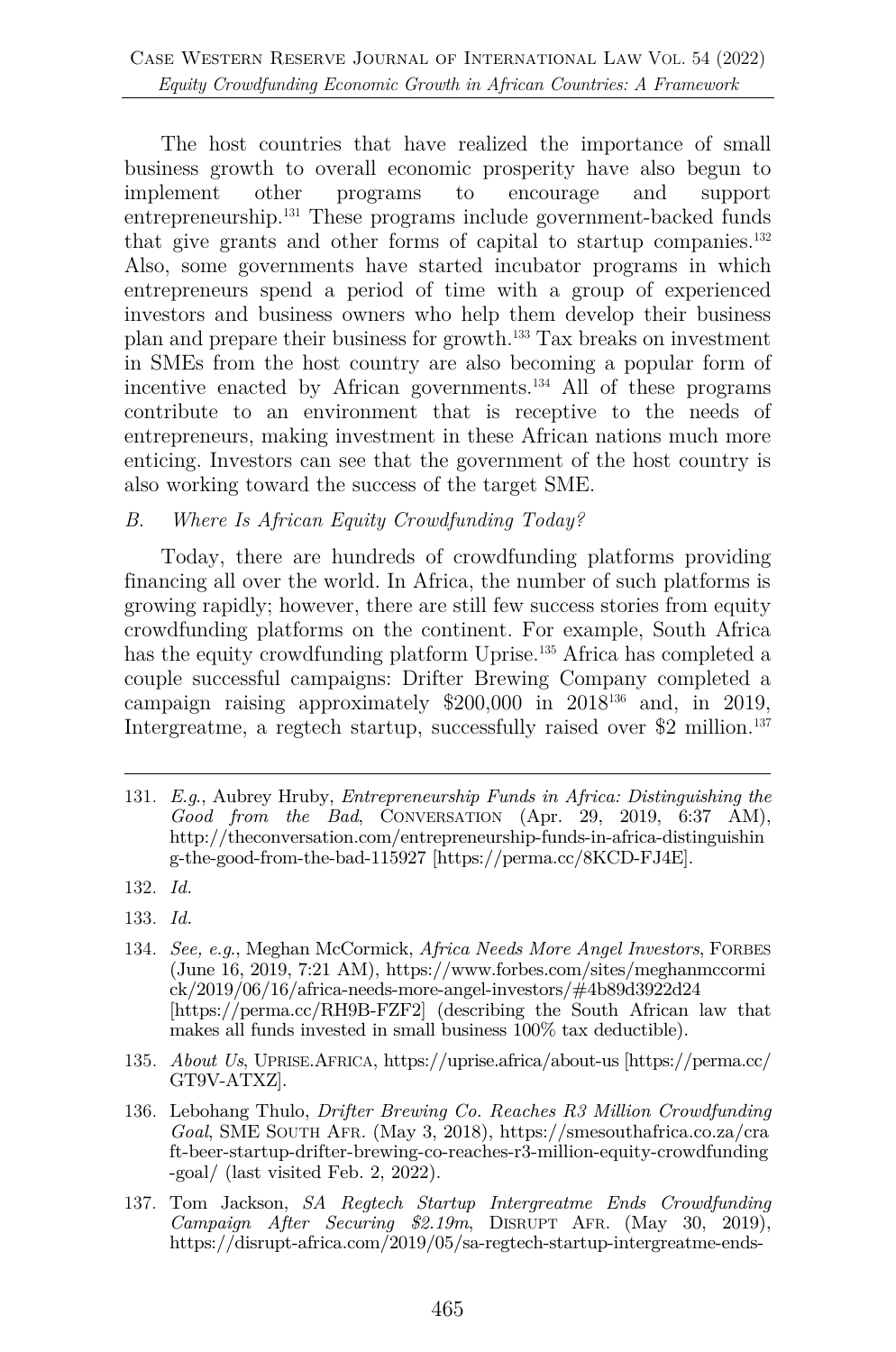The host countries that have realized the importance of small business growth to overall economic prosperity have also begun to implement other programs to encourage and support entrepreneurship.131 These programs include government-backed funds that give grants and other forms of capital to startup companies.<sup>132</sup> Also, some governments have started incubator programs in which entrepreneurs spend a period of time with a group of experienced investors and business owners who help them develop their business plan and prepare their business for growth.133 Tax breaks on investment in SMEs from the host country are also becoming a popular form of incentive enacted by African governments.134 All of these programs contribute to an environment that is receptive to the needs of entrepreneurs, making investment in these African nations much more enticing. Investors can see that the government of the host country is also working toward the success of the target SME.

#### *B. Where Is African Equity Crowdfunding Today?*

Today, there are hundreds of crowdfunding platforms providing financing all over the world. In Africa, the number of such platforms is growing rapidly; however, there are still few success stories from equity crowdfunding platforms on the continent. For example, South Africa has the equity crowdfunding platform Uprise.<sup>135</sup> Africa has completed a couple successful campaigns: Drifter Brewing Company completed a campaign raising approximately  $$200,000$  in  $2018^{136}$  and, in 2019, Intergreatme, a regtech startup, successfully raised over \$2 million.<sup>137</sup>

- 134. *See, e.g*., Meghan McCormick, *Africa Needs More Angel Investors*, FORBES (June 16, 2019, 7:21 AM), https://www.forbes.com/sites/meghanmccormi ck/2019/06/16/africa-needs-more-angel-investors/#4b89d3922d24 [https://perma.cc/RH9B-FZF2] (describing the South African law that makes all funds invested in small business 100% tax deductible).
- 135. *About Us*, UPRISE.AFRICA, https://uprise.africa/about-us [https://perma.cc/ GT9V-ATXZ].
- 136. Lebohang Thulo, *Drifter Brewing Co. Reaches R3 Million Crowdfunding Goal*, SME SOUTH AFR. (May 3, 2018), https://smesouthafrica.co.za/cra ft-beer-startup-drifter-brewing-co-reaches-r3-million-equity-crowdfunding -goal/ (last visited Feb. 2, 2022).
- 137. Tom Jackson, *SA Regtech Startup Intergreatme Ends Crowdfunding Campaign After Securing \$2.19m*, DISRUPT AFR. (May 30, 2019), https://disrupt-africa.com/2019/05/sa-regtech-startup-intergreatme-ends-

<sup>131.</sup> *E.g*., Aubrey Hruby, *Entrepreneurship Funds in Africa: Distinguishing the Good from the Bad*, CONVERSATION (Apr. 29, 2019, 6:37 AM), http://theconversation.com/entrepreneurship-funds-in-africa-distinguishin g-the-good-from-the-bad-115927 [https://perma.cc/8KCD-FJ4E].

<sup>132.</sup> *Id.*

<sup>133.</sup> *Id.*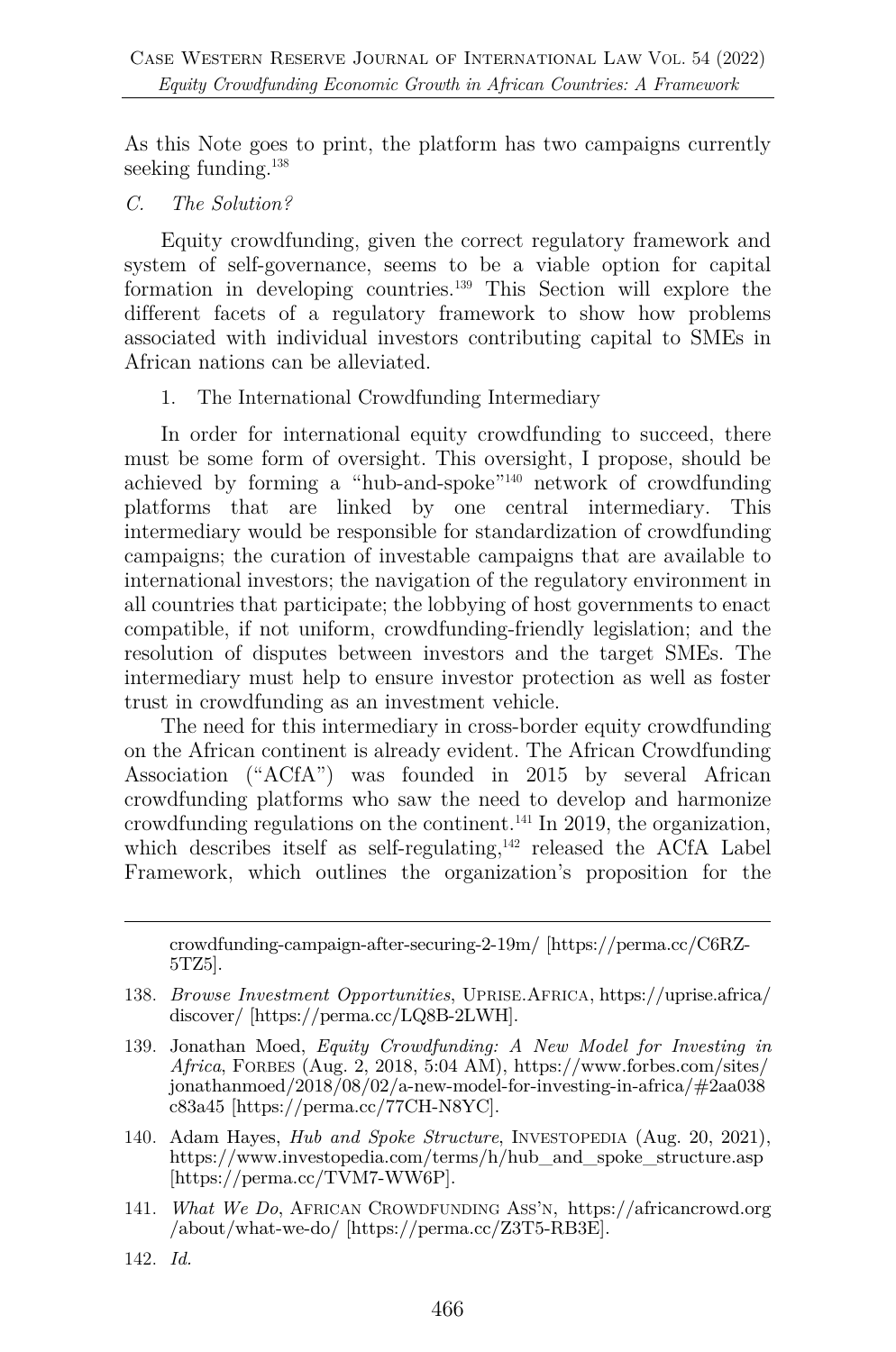As this Note goes to print, the platform has two campaigns currently seeking funding.<sup>138</sup>

*C. The Solution?*

Equity crowdfunding, given the correct regulatory framework and system of self-governance, seems to be a viable option for capital formation in developing countries.139 This Section will explore the different facets of a regulatory framework to show how problems associated with individual investors contributing capital to SMEs in African nations can be alleviated.

1. The International Crowdfunding Intermediary

In order for international equity crowdfunding to succeed, there must be some form of oversight. This oversight, I propose, should be achieved by forming a "hub-and-spoke"140 network of crowdfunding platforms that are linked by one central intermediary. This intermediary would be responsible for standardization of crowdfunding campaigns; the curation of investable campaigns that are available to international investors; the navigation of the regulatory environment in all countries that participate; the lobbying of host governments to enact compatible, if not uniform, crowdfunding-friendly legislation; and the resolution of disputes between investors and the target SMEs. The intermediary must help to ensure investor protection as well as foster trust in crowdfunding as an investment vehicle.

The need for this intermediary in cross-border equity crowdfunding on the African continent is already evident. The African Crowdfunding Association ("ACfA") was founded in 2015 by several African crowdfunding platforms who saw the need to develop and harmonize crowdfunding regulations on the continent.<sup>141</sup> In 2019, the organization, which describes itself as self-regulating,<sup>142</sup> released the ACfA Label Framework, which outlines the organization's proposition for the

crowdfunding-campaign-after-securing-2-19m/ [https://perma.cc/C6RZ-5TZ5].

- 138. *Browse Investment Opportunities*, UPRISE.AFRICA, https://uprise.africa/ discover/ [https://perma.cc/LQ8B-2LWH].
- 139. Jonathan Moed, *Equity Crowdfunding: A New Model for Investing in Africa*, FORBES (Aug. 2, 2018, 5:04 AM), https://www.forbes.com/sites/ jonathanmoed/2018/08/02/a-new-model-for-investing-in-africa/#2aa038 c83a45 [https://perma.cc/77CH-N8YC].
- 140. Adam Hayes, *Hub and Spoke Structure*, INVESTOPEDIA (Aug. 20, 2021), https://www.investopedia.com/terms/h/hub\_and\_spoke\_structure.asp [https://perma.cc/TVM7-WW6P].
- 141. *What We Do*, AFRICAN CROWDFUNDING ASS'N, https://africancrowd.org /about/what-we-do/ [https://perma.cc/Z3T5-RB3E].
- 142. *Id.*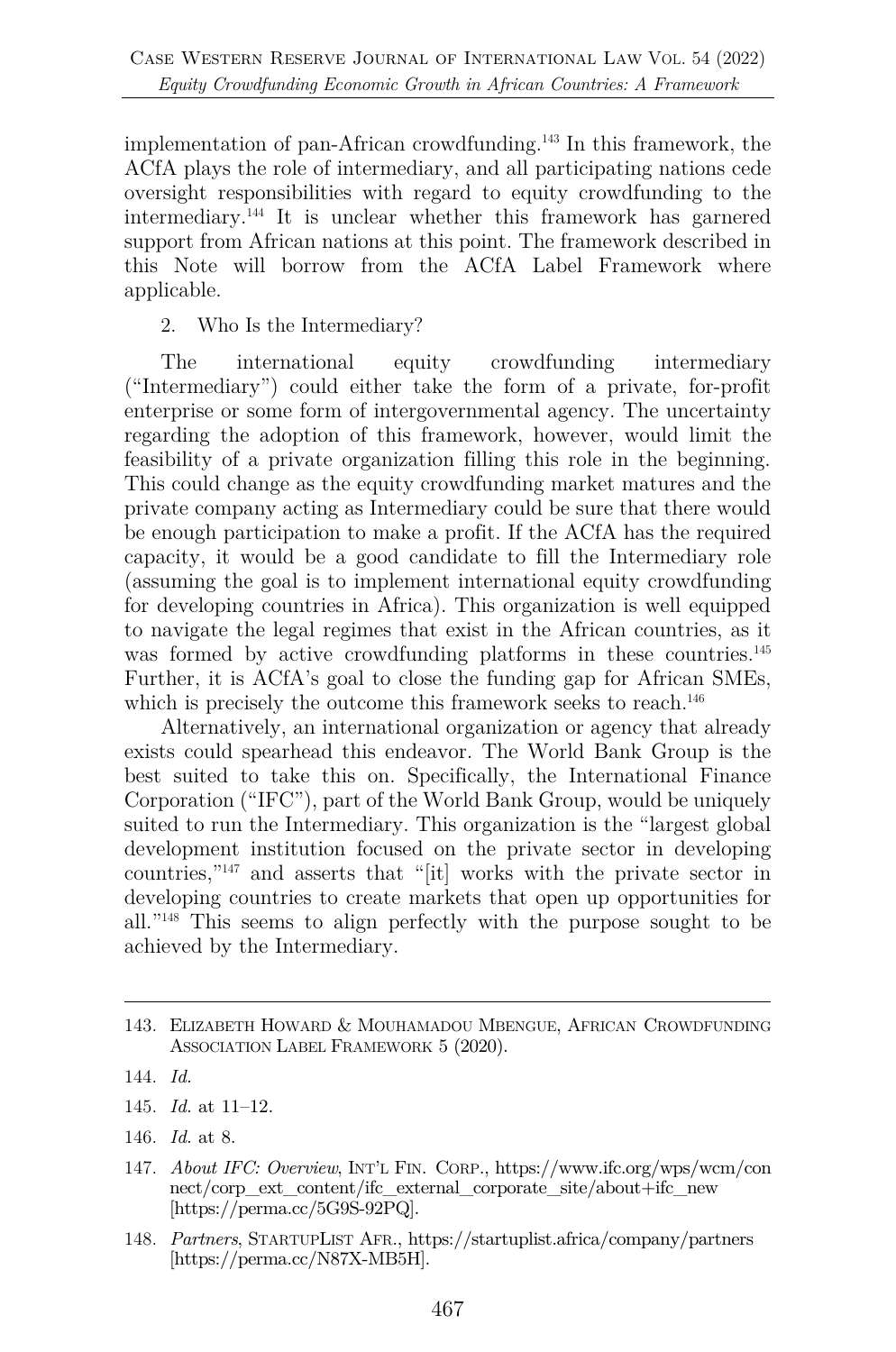implementation of pan-African crowdfunding.143 In this framework, the ACfA plays the role of intermediary, and all participating nations cede oversight responsibilities with regard to equity crowdfunding to the intermediary.144 It is unclear whether this framework has garnered support from African nations at this point. The framework described in this Note will borrow from the ACfA Label Framework where applicable.

2. Who Is the Intermediary?

The international equity crowdfunding intermediary ("Intermediary") could either take the form of a private, for-profit enterprise or some form of intergovernmental agency. The uncertainty regarding the adoption of this framework, however, would limit the feasibility of a private organization filling this role in the beginning. This could change as the equity crowdfunding market matures and the private company acting as Intermediary could be sure that there would be enough participation to make a profit. If the ACfA has the required capacity, it would be a good candidate to fill the Intermediary role (assuming the goal is to implement international equity crowdfunding for developing countries in Africa). This organization is well equipped to navigate the legal regimes that exist in the African countries, as it was formed by active crowdfunding platforms in these countries.<sup>145</sup> Further, it is ACfA's goal to close the funding gap for African SMEs, which is precisely the outcome this framework seeks to reach.<sup>146</sup>

Alternatively, an international organization or agency that already exists could spearhead this endeavor. The World Bank Group is the best suited to take this on. Specifically, the International Finance Corporation ("IFC"), part of the World Bank Group, would be uniquely suited to run the Intermediary. This organization is the "largest global development institution focused on the private sector in developing countries,"147 and asserts that "[it] works with the private sector in developing countries to create markets that open up opportunities for all."148 This seems to align perfectly with the purpose sought to be achieved by the Intermediary.

146. *Id.* at 8.

<sup>143.</sup> ELIZABETH HOWARD & MOUHAMADOU MBENGUE, AFRICAN CROWDFUNDING ASSOCIATION LABEL FRAMEWORK 5 (2020).

<sup>144.</sup> *Id.*

<sup>145.</sup> *Id.* at 11–12.

<sup>147.</sup> *About IFC: Overview*, INT'L FIN. CORP., https://www.ifc.org/wps/wcm/con nect/corp\_ext\_content/ifc\_external\_corporate\_site/about+ifc\_new [https://perma.cc/5G9S-92PQ].

<sup>148.</sup> *Partners*, STARTUPLIST AFR., https://startuplist.africa/company/partners [https://perma.cc/N87X-MB5H].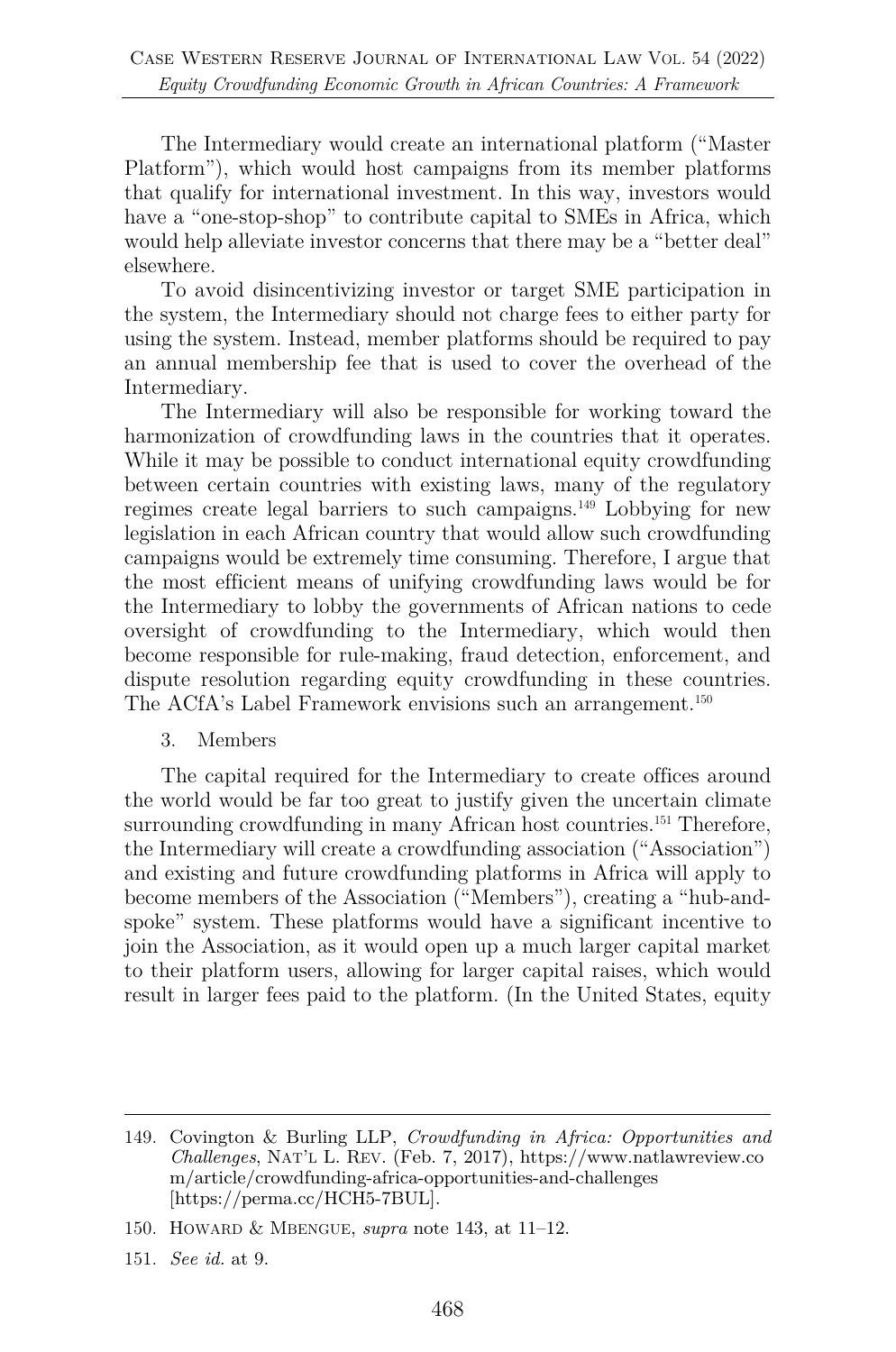The Intermediary would create an international platform ("Master Platform"), which would host campaigns from its member platforms that qualify for international investment. In this way, investors would have a "one-stop-shop" to contribute capital to SMEs in Africa, which would help alleviate investor concerns that there may be a "better deal" elsewhere.

To avoid disincentivizing investor or target SME participation in the system, the Intermediary should not charge fees to either party for using the system. Instead, member platforms should be required to pay an annual membership fee that is used to cover the overhead of the Intermediary.

The Intermediary will also be responsible for working toward the harmonization of crowdfunding laws in the countries that it operates. While it may be possible to conduct international equity crowdfunding between certain countries with existing laws, many of the regulatory regimes create legal barriers to such campaigns.149 Lobbying for new legislation in each African country that would allow such crowdfunding campaigns would be extremely time consuming. Therefore, I argue that the most efficient means of unifying crowdfunding laws would be for the Intermediary to lobby the governments of African nations to cede oversight of crowdfunding to the Intermediary, which would then become responsible for rule-making, fraud detection, enforcement, and dispute resolution regarding equity crowdfunding in these countries. The ACfA's Label Framework envisions such an arrangement.<sup>150</sup>

3. Members

The capital required for the Intermediary to create offices around the world would be far too great to justify given the uncertain climate surrounding crowdfunding in many African host countries.<sup>151</sup> Therefore, the Intermediary will create a crowdfunding association ("Association") and existing and future crowdfunding platforms in Africa will apply to become members of the Association ("Members"), creating a "hub-andspoke" system. These platforms would have a significant incentive to join the Association, as it would open up a much larger capital market to their platform users, allowing for larger capital raises, which would result in larger fees paid to the platform. (In the United States, equity

<sup>149.</sup> Covington & Burling LLP, *Crowdfunding in Africa: Opportunities and Challenges*, NAT'L L. REV. (Feb. 7, 2017), https://www.natlawreview.co m/article/crowdfunding-africa-opportunities-and-challenges [https://perma.cc/HCH5-7BUL].

<sup>150.</sup> HOWARD & MBENGUE, *supra* note 143, at 11–12.

<sup>151.</sup> *See id.* at 9.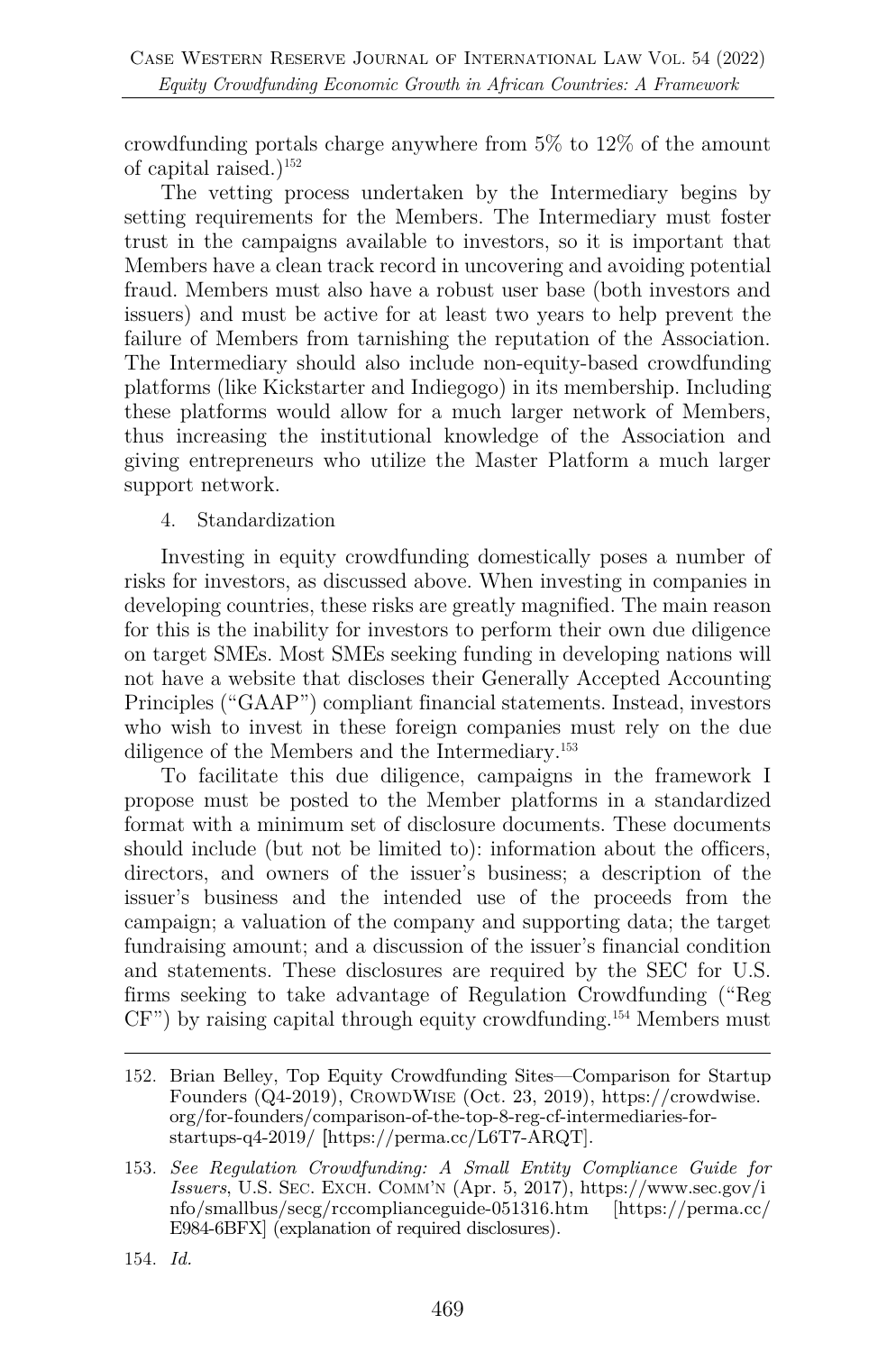crowdfunding portals charge anywhere from 5% to 12% of the amount of capital raised.)<sup>152</sup>

The vetting process undertaken by the Intermediary begins by setting requirements for the Members. The Intermediary must foster trust in the campaigns available to investors, so it is important that Members have a clean track record in uncovering and avoiding potential fraud. Members must also have a robust user base (both investors and issuers) and must be active for at least two years to help prevent the failure of Members from tarnishing the reputation of the Association. The Intermediary should also include non-equity-based crowdfunding platforms (like Kickstarter and Indiegogo) in its membership. Including these platforms would allow for a much larger network of Members, thus increasing the institutional knowledge of the Association and giving entrepreneurs who utilize the Master Platform a much larger support network.

4. Standardization

Investing in equity crowdfunding domestically poses a number of risks for investors, as discussed above. When investing in companies in developing countries, these risks are greatly magnified. The main reason for this is the inability for investors to perform their own due diligence on target SMEs. Most SMEs seeking funding in developing nations will not have a website that discloses their Generally Accepted Accounting Principles ("GAAP") compliant financial statements. Instead, investors who wish to invest in these foreign companies must rely on the due diligence of the Members and the Intermediary.<sup>153</sup>

To facilitate this due diligence, campaigns in the framework I propose must be posted to the Member platforms in a standardized format with a minimum set of disclosure documents. These documents should include (but not be limited to): information about the officers, directors, and owners of the issuer's business; a description of the issuer's business and the intended use of the proceeds from the campaign; a valuation of the company and supporting data; the target fundraising amount; and a discussion of the issuer's financial condition and statements. These disclosures are required by the SEC for U.S. firms seeking to take advantage of Regulation Crowdfunding ("Reg CF") by raising capital through equity crowdfunding.154 Members must

154. *Id.*

<sup>152.</sup> Brian Belley, Top Equity Crowdfunding Sites—Comparison for Startup Founders (Q4-2019), CROWDWISE (Oct. 23, 2019), https://crowdwise. org/for-founders/comparison-of-the-top-8-reg-cf-intermediaries-forstartups-q4-2019/ **[**https://perma.cc/L6T7-ARQT].

<sup>153.</sup> *See Regulation Crowdfunding: A Small Entity Compliance Guide for Issuers*, U.S. SEC. EXCH. COMM'N (Apr. 5, 2017), https://www.sec.gov/i nfo/smallbus/secg/rccomplianceguide-051316.htm [https://perma.cc/ E984-6BFX] (explanation of required disclosures).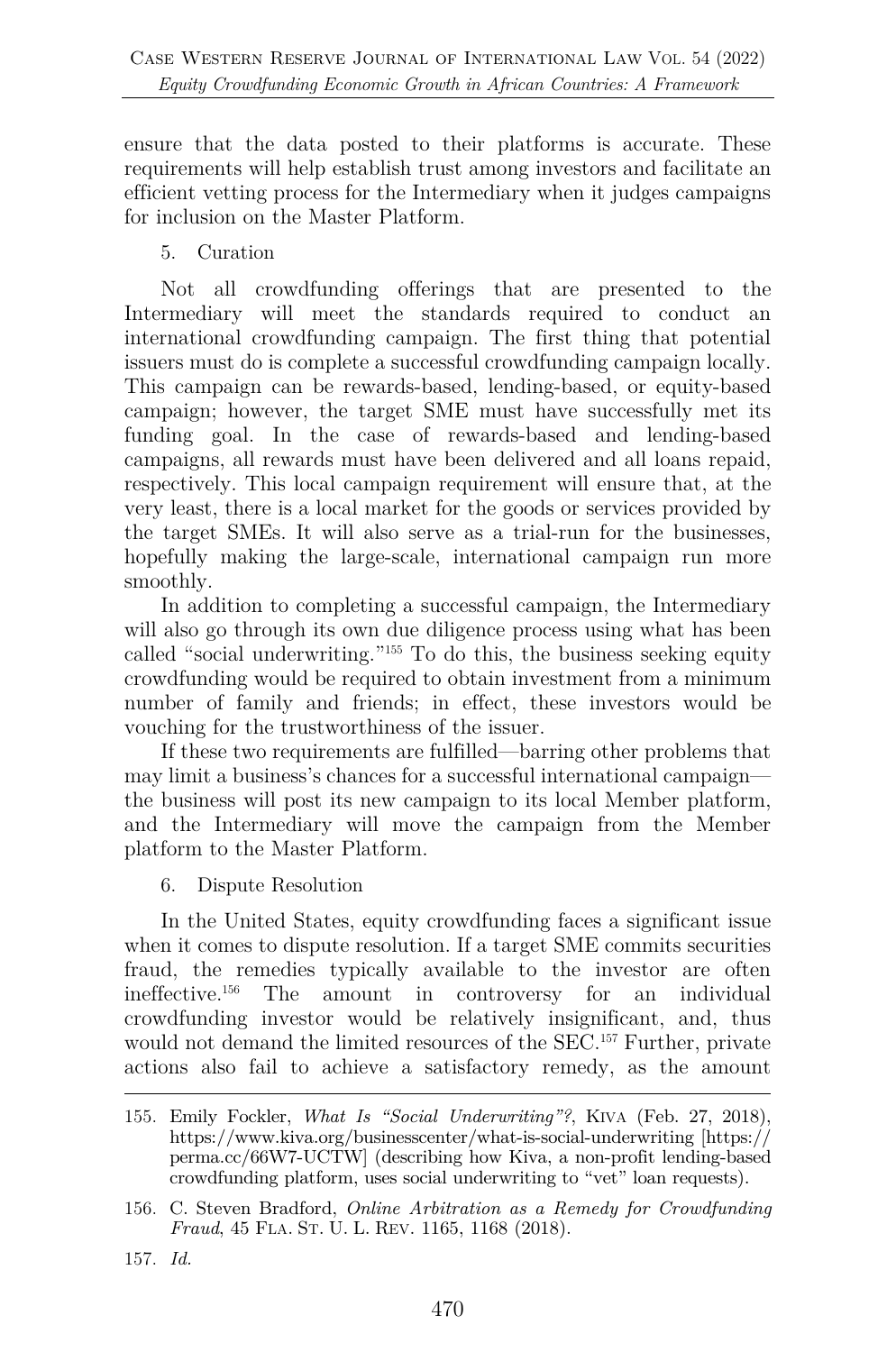ensure that the data posted to their platforms is accurate. These requirements will help establish trust among investors and facilitate an efficient vetting process for the Intermediary when it judges campaigns for inclusion on the Master Platform.

5. Curation

Not all crowdfunding offerings that are presented to the Intermediary will meet the standards required to conduct an international crowdfunding campaign. The first thing that potential issuers must do is complete a successful crowdfunding campaign locally. This campaign can be rewards-based, lending-based, or equity-based campaign; however, the target SME must have successfully met its funding goal. In the case of rewards-based and lending-based campaigns, all rewards must have been delivered and all loans repaid, respectively. This local campaign requirement will ensure that, at the very least, there is a local market for the goods or services provided by the target SMEs. It will also serve as a trial-run for the businesses, hopefully making the large-scale, international campaign run more smoothly.

In addition to completing a successful campaign, the Intermediary will also go through its own due diligence process using what has been called "social underwriting."155 To do this, the business seeking equity crowdfunding would be required to obtain investment from a minimum number of family and friends; in effect, these investors would be vouching for the trustworthiness of the issuer.

If these two requirements are fulfilled—barring other problems that may limit a business's chances for a successful international campaign the business will post its new campaign to its local Member platform, and the Intermediary will move the campaign from the Member platform to the Master Platform.

6. Dispute Resolution

In the United States, equity crowdfunding faces a significant issue when it comes to dispute resolution. If a target SME commits securities fraud, the remedies typically available to the investor are often ineffective.156 The amount in controversy for an individual crowdfunding investor would be relatively insignificant, and, thus would not demand the limited resources of the SEC.<sup>157</sup> Further, private actions also fail to achieve a satisfactory remedy, as the amount

<sup>155.</sup> Emily Fockler, *What Is "Social Underwriting"?*, KIVA (Feb. 27, 2018), https://www.kiva.org/businesscenter/what-is-social-underwriting [https:// perma.cc/66W7-UCTW] (describing how Kiva, a non-profit lending-based crowdfunding platform, uses social underwriting to "vet" loan requests).

<sup>156.</sup> C. Steven Bradford, *Online Arbitration as a Remedy for Crowdfunding Fraud*, 45 FLA. ST. U. L. REV. 1165, 1168 (2018).

<sup>157.</sup> *Id.*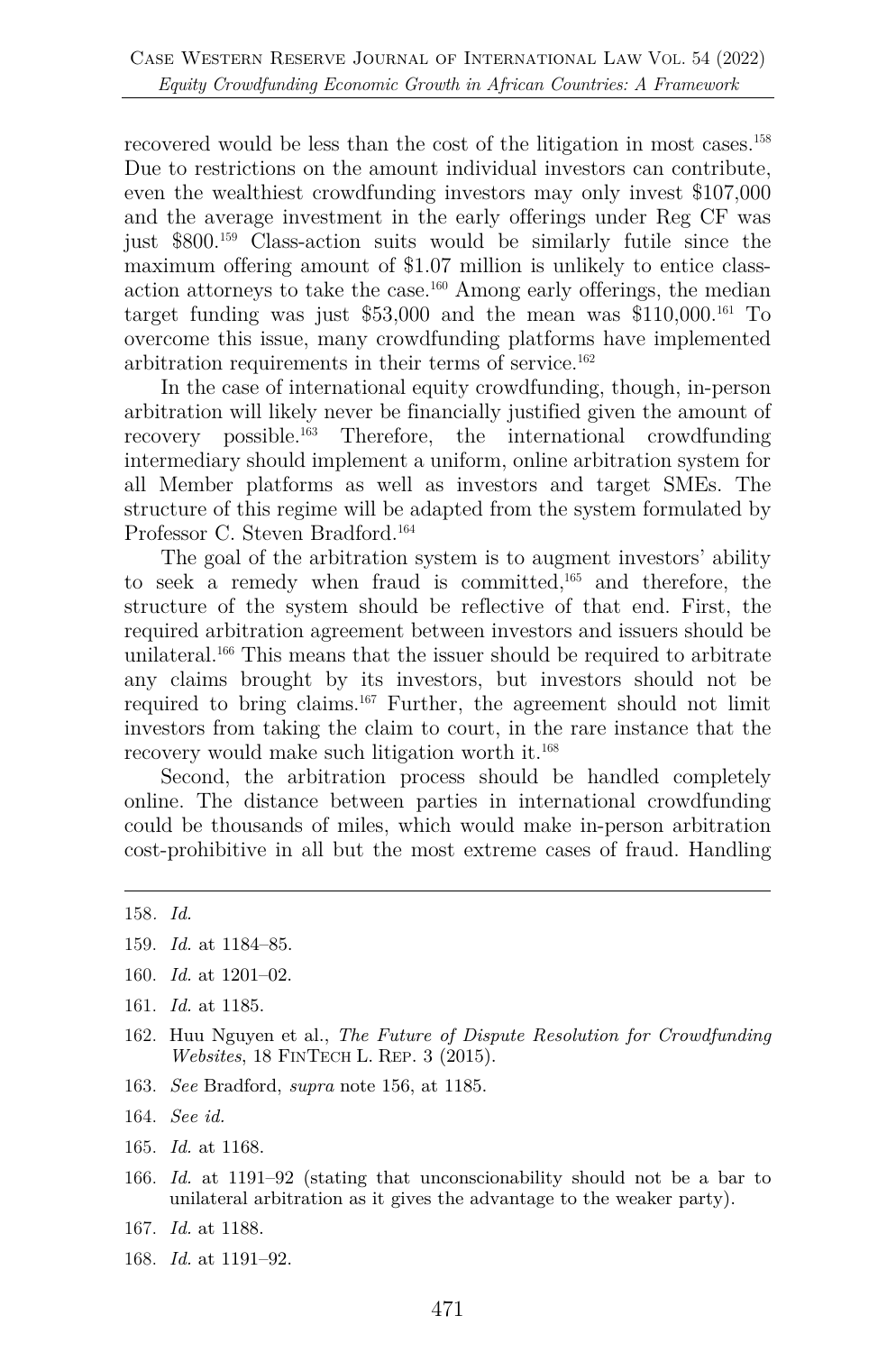recovered would be less than the cost of the litigation in most cases. 158 Due to restrictions on the amount individual investors can contribute, even the wealthiest crowdfunding investors may only invest \$107,000 and the average investment in the early offerings under Reg CF was just \$800.159 Class-action suits would be similarly futile since the maximum offering amount of \$1.07 million is unlikely to entice classaction attorneys to take the case.160 Among early offerings, the median target funding was just  $$53,000$  and the mean was  $$110,000$ <sup>161</sup> To overcome this issue, many crowdfunding platforms have implemented arbitration requirements in their terms of service.162

In the case of international equity crowdfunding, though, in-person arbitration will likely never be financially justified given the amount of recovery possible.163 Therefore, the international crowdfunding intermediary should implement a uniform, online arbitration system for all Member platforms as well as investors and target SMEs. The structure of this regime will be adapted from the system formulated by Professor C. Steven Bradford.<sup>164</sup>

The goal of the arbitration system is to augment investors' ability to seek a remedy when fraud is committed,165 and therefore, the structure of the system should be reflective of that end. First, the required arbitration agreement between investors and issuers should be unilateral.166 This means that the issuer should be required to arbitrate any claims brought by its investors, but investors should not be required to bring claims.167 Further, the agreement should not limit investors from taking the claim to court, in the rare instance that the recovery would make such litigation worth it.<sup>168</sup>

Second, the arbitration process should be handled completely online. The distance between parties in international crowdfunding could be thousands of miles, which would make in-person arbitration cost-prohibitive in all but the most extreme cases of fraud. Handling

- 160. *Id.* at 1201–02.
- 161. *Id.* at 1185.
- 162. Huu Nguyen et al., *The Future of Dispute Resolution for Crowdfunding Websites*, 18 FINTECH L. REP. 3 (2015).
- 163. *See* Bradford, *supra* note 156, at 1185.
- 164. *See id.*
- 165. *Id.* at 1168.
- 166. *Id.* at 1191–92 (stating that unconscionability should not be a bar to unilateral arbitration as it gives the advantage to the weaker party).
- 167. *Id.* at 1188.
- 168. *Id.* at 1191–92.

<sup>158</sup>*. Id.*

<sup>159.</sup> *Id.* at 1184–85.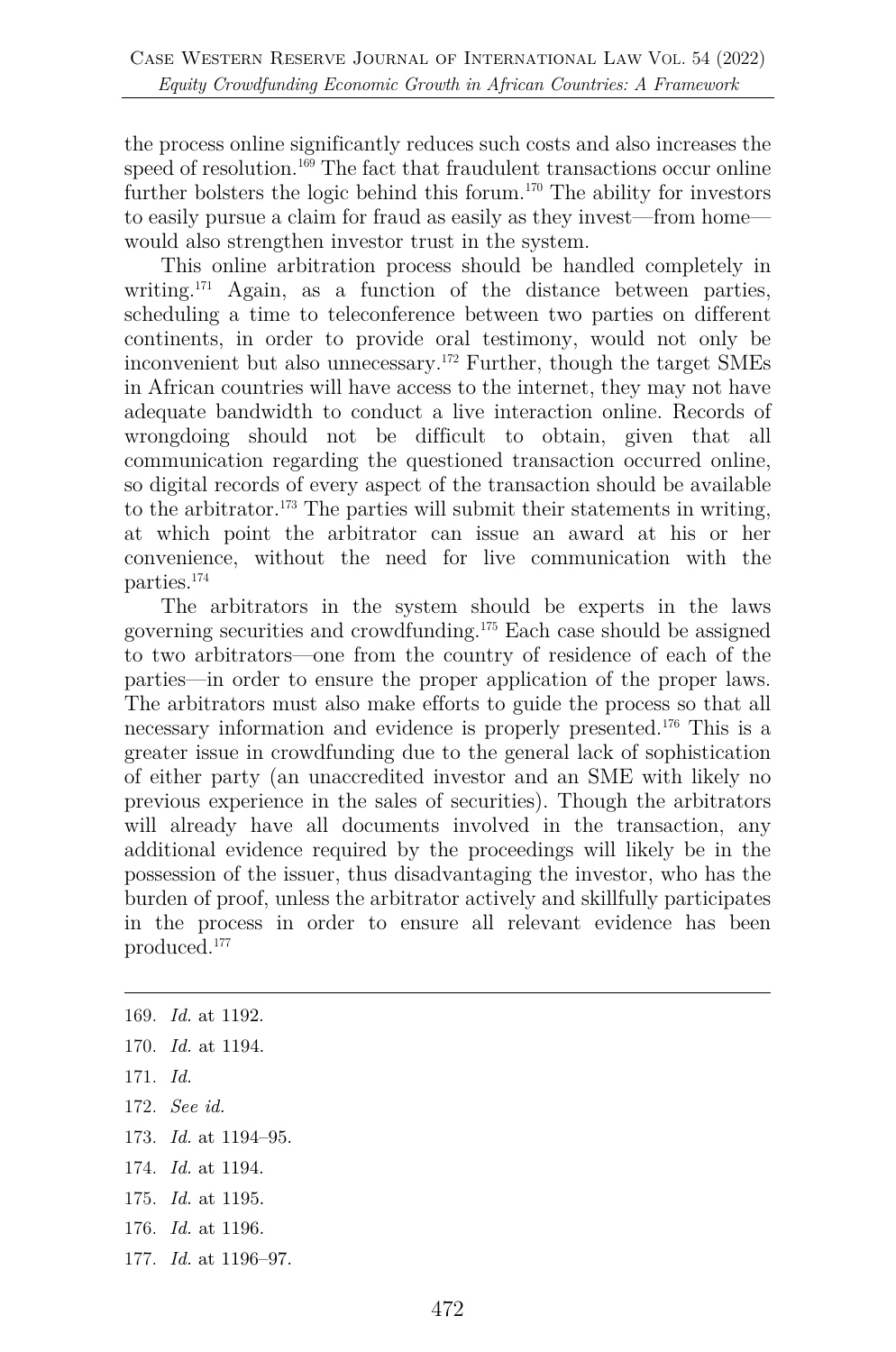the process online significantly reduces such costs and also increases the speed of resolution.<sup>169</sup> The fact that fraudulent transactions occur online further bolsters the logic behind this forum.<sup>170</sup> The ability for investors to easily pursue a claim for fraud as easily as they invest—from home would also strengthen investor trust in the system.

This online arbitration process should be handled completely in writing.<sup>171</sup> Again, as a function of the distance between parties, scheduling a time to teleconference between two parties on different continents, in order to provide oral testimony, would not only be inconvenient but also unnecessary.172 Further, though the target SMEs in African countries will have access to the internet, they may not have adequate bandwidth to conduct a live interaction online. Records of wrongdoing should not be difficult to obtain, given that all communication regarding the questioned transaction occurred online, so digital records of every aspect of the transaction should be available to the arbitrator.<sup>173</sup> The parties will submit their statements in writing, at which point the arbitrator can issue an award at his or her convenience, without the need for live communication with the parties.174

The arbitrators in the system should be experts in the laws governing securities and crowdfunding.175 Each case should be assigned to two arbitrators—one from the country of residence of each of the parties—in order to ensure the proper application of the proper laws. The arbitrators must also make efforts to guide the process so that all necessary information and evidence is properly presented.176 This is a greater issue in crowdfunding due to the general lack of sophistication of either party (an unaccredited investor and an SME with likely no previous experience in the sales of securities). Though the arbitrators will already have all documents involved in the transaction, any additional evidence required by the proceedings will likely be in the possession of the issuer, thus disadvantaging the investor, who has the burden of proof, unless the arbitrator actively and skillfully participates in the process in order to ensure all relevant evidence has been produced.177

- 171. *Id.*
- 172. *See id.*
- 173. *Id.* at 1194–95.
- 174. *Id.* at 1194.
- 175. *Id.* at 1195.
- 176. *Id.* at 1196.
- 177. *Id.* at 1196–97.

<sup>169.</sup> *Id.* at 1192.

<sup>170.</sup> *Id.* at 1194.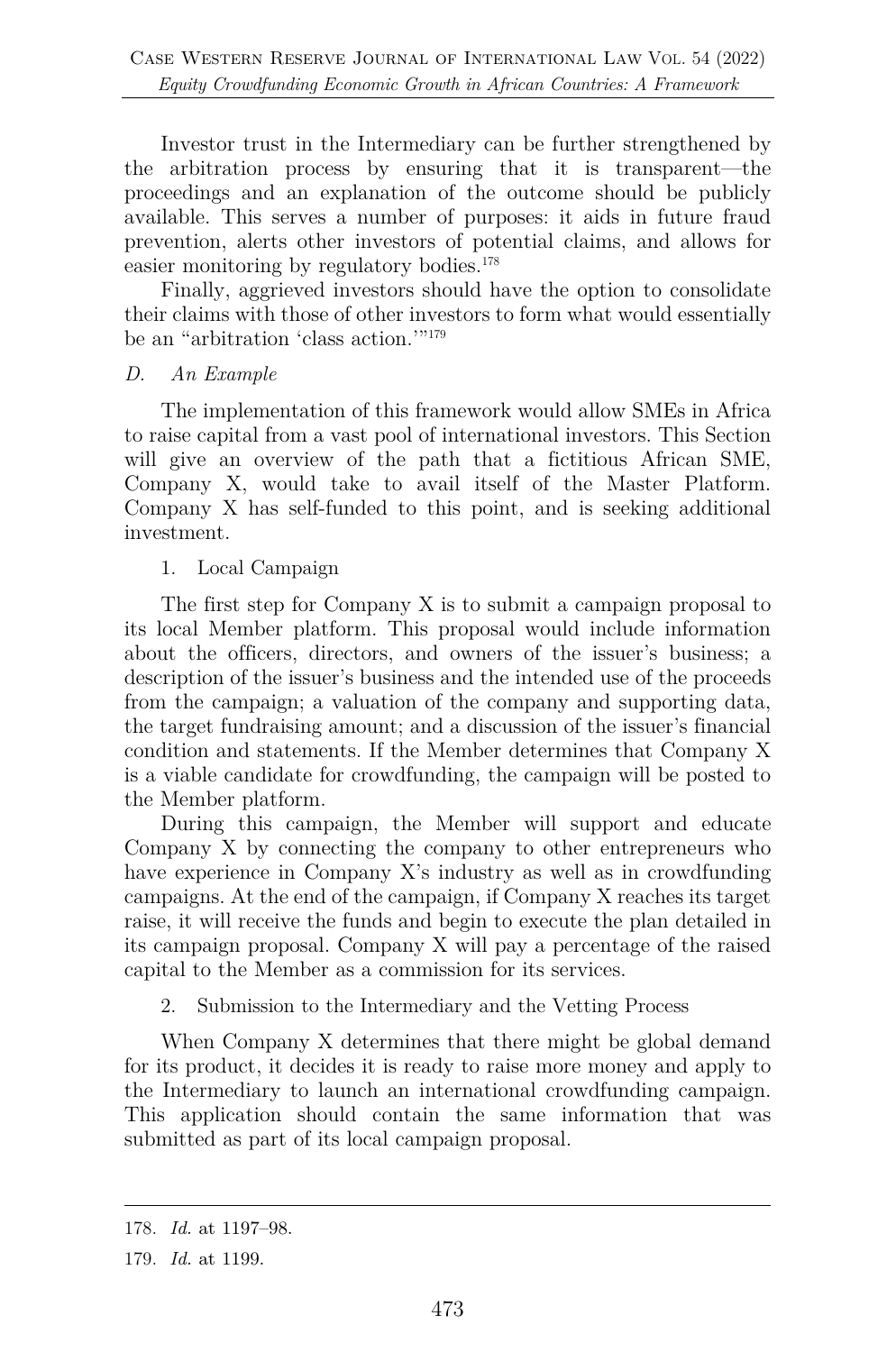Investor trust in the Intermediary can be further strengthened by the arbitration process by ensuring that it is transparent—the proceedings and an explanation of the outcome should be publicly available. This serves a number of purposes: it aids in future fraud prevention, alerts other investors of potential claims, and allows for easier monitoring by regulatory bodies.<sup>178</sup>

Finally, aggrieved investors should have the option to consolidate their claims with those of other investors to form what would essentially be an "arbitration 'class action.'"<sup>179</sup>

#### *D. An Example*

The implementation of this framework would allow SMEs in Africa to raise capital from a vast pool of international investors. This Section will give an overview of the path that a fictitious African SME, Company X, would take to avail itself of the Master Platform. Company X has self-funded to this point, and is seeking additional investment.

#### 1. Local Campaign

The first step for Company X is to submit a campaign proposal to its local Member platform. This proposal would include information about the officers, directors, and owners of the issuer's business; a description of the issuer's business and the intended use of the proceeds from the campaign; a valuation of the company and supporting data, the target fundraising amount; and a discussion of the issuer's financial condition and statements. If the Member determines that Company X is a viable candidate for crowdfunding, the campaign will be posted to the Member platform.

During this campaign, the Member will support and educate Company X by connecting the company to other entrepreneurs who have experience in Company X's industry as well as in crowdfunding campaigns. At the end of the campaign, if Company X reaches its target raise, it will receive the funds and begin to execute the plan detailed in its campaign proposal. Company X will pay a percentage of the raised capital to the Member as a commission for its services.

#### 2. Submission to the Intermediary and the Vetting Process

When Company X determines that there might be global demand for its product, it decides it is ready to raise more money and apply to the Intermediary to launch an international crowdfunding campaign. This application should contain the same information that was submitted as part of its local campaign proposal.

<sup>178.</sup> *Id.* at 1197–98.

<sup>179.</sup> *Id.* at 1199.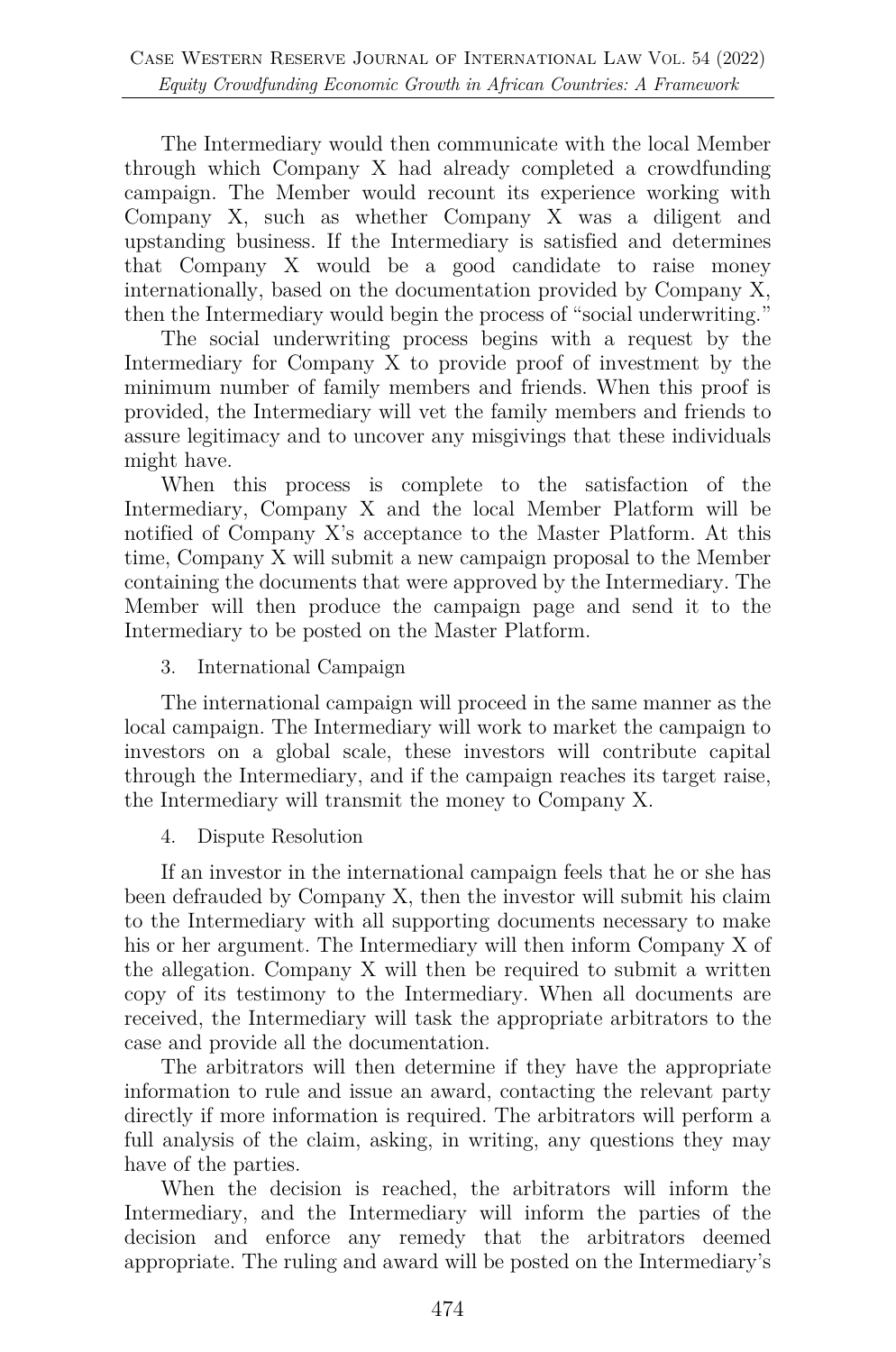The Intermediary would then communicate with the local Member through which Company X had already completed a crowdfunding campaign. The Member would recount its experience working with Company X, such as whether Company X was a diligent and upstanding business. If the Intermediary is satisfied and determines that Company X would be a good candidate to raise money internationally, based on the documentation provided by Company X, then the Intermediary would begin the process of "social underwriting."

The social underwriting process begins with a request by the Intermediary for Company X to provide proof of investment by the minimum number of family members and friends. When this proof is provided, the Intermediary will vet the family members and friends to assure legitimacy and to uncover any misgivings that these individuals might have.

When this process is complete to the satisfaction of the Intermediary, Company X and the local Member Platform will be notified of Company X's acceptance to the Master Platform. At this time, Company X will submit a new campaign proposal to the Member containing the documents that were approved by the Intermediary. The Member will then produce the campaign page and send it to the Intermediary to be posted on the Master Platform.

#### 3. International Campaign

The international campaign will proceed in the same manner as the local campaign. The Intermediary will work to market the campaign to investors on a global scale, these investors will contribute capital through the Intermediary, and if the campaign reaches its target raise, the Intermediary will transmit the money to Company X.

#### 4. Dispute Resolution

If an investor in the international campaign feels that he or she has been defrauded by Company X, then the investor will submit his claim to the Intermediary with all supporting documents necessary to make his or her argument. The Intermediary will then inform Company X of the allegation. Company X will then be required to submit a written copy of its testimony to the Intermediary. When all documents are received, the Intermediary will task the appropriate arbitrators to the case and provide all the documentation.

The arbitrators will then determine if they have the appropriate information to rule and issue an award, contacting the relevant party directly if more information is required. The arbitrators will perform a full analysis of the claim, asking, in writing, any questions they may have of the parties.

When the decision is reached, the arbitrators will inform the Intermediary, and the Intermediary will inform the parties of the decision and enforce any remedy that the arbitrators deemed appropriate. The ruling and award will be posted on the Intermediary's